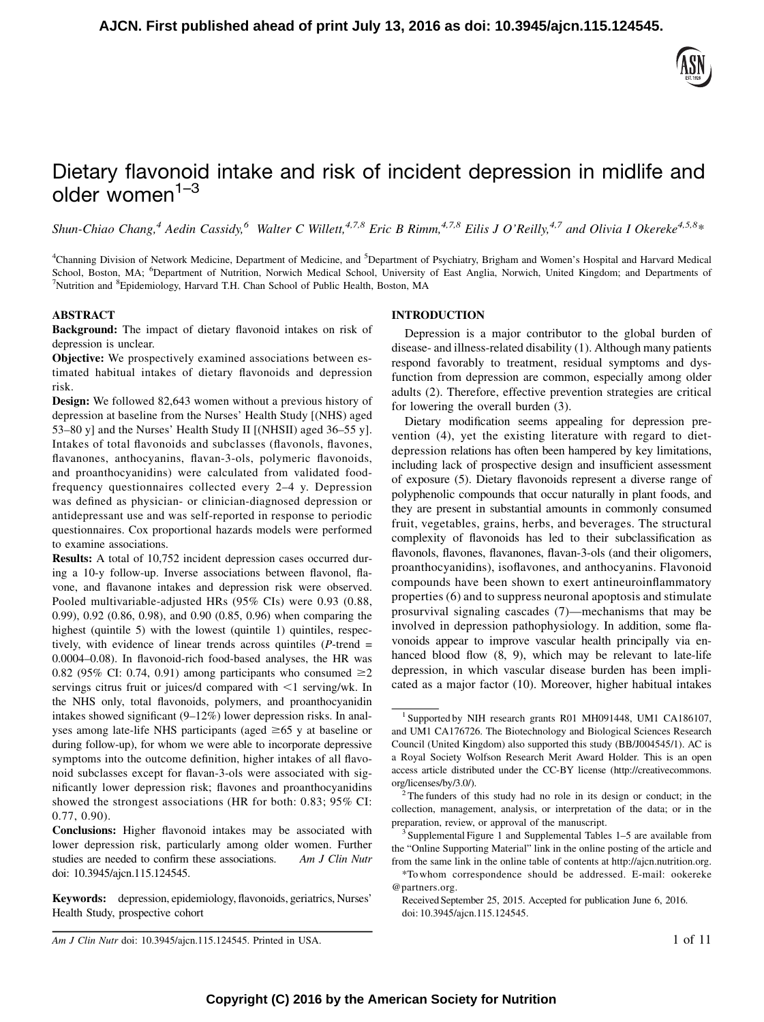

# Dietary flavonoid intake and risk of incident depression in midlife and older women $1-3$

Shun-Chiao Chang,<sup>4</sup> Aedin Cassidy,<sup>6</sup> Walter C Willett,<sup>4,7,8</sup> Eric B Rimm,<sup>4,7,8</sup> Eilis J O'Reilly,<sup>4,7</sup> and Olivia I Okereke<sup>4,5,8</sup>\*

<sup>4</sup>Channing Division of Network Medicine, Department of Medicine, and <sup>5</sup>Department of Psychiatry, Brigham and Women's Hospital and Harvard Medical School, Boston, MA; <sup>6</sup>Department of Nutrition, Norwich Medical School, University of East Anglia, Norwich, United Kingdom; and Departments of <sup>7</sup>Nutrition and <sup>8</sup>Enidemicloov, Harvard T.H. Chan School of Public Haalth, Bo Nutrition and <sup>8</sup>Epidemiology, Harvard T.H. Chan School of Public Health, Boston, MA

# ABSTRACT

Background: The impact of dietary flavonoid intakes on risk of depression is unclear.

Objective: We prospectively examined associations between estimated habitual intakes of dietary flavonoids and depression risk.

Design: We followed 82,643 women without a previous history of depression at baseline from the Nurses' Health Study [(NHS) aged 53–80 y] and the Nurses' Health Study II [(NHSII) aged 36–55 y]. Intakes of total flavonoids and subclasses (flavonols, flavones, flavanones, anthocyanins, flavan-3-ols, polymeric flavonoids, and proanthocyanidins) were calculated from validated foodfrequency questionnaires collected every 2–4 y. Depression was defined as physician- or clinician-diagnosed depression or antidepressant use and was self-reported in response to periodic questionnaires. Cox proportional hazards models were performed to examine associations.

Results: A total of 10,752 incident depression cases occurred during a 10-y follow-up. Inverse associations between flavonol, flavone, and flavanone intakes and depression risk were observed. Pooled multivariable-adjusted HRs (95% CIs) were 0.93 (0.88, 0.99), 0.92 (0.86, 0.98), and 0.90 (0.85, 0.96) when comparing the highest (quintile 5) with the lowest (quintile 1) quintiles, respectively, with evidence of linear trends across quintiles  $(P$ -trend = 0.0004–0.08). In flavonoid-rich food-based analyses, the HR was 0.82 (95% CI: 0.74, 0.91) among participants who consumed  $\geq 2$ servings citrus fruit or juices/d compared with  $\leq 1$  serving/wk. In the NHS only, total flavonoids, polymers, and proanthocyanidin intakes showed significant (9–12%) lower depression risks. In analyses among late-life NHS participants (aged  $\geq 65$  y at baseline or during follow-up), for whom we were able to incorporate depressive symptoms into the outcome definition, higher intakes of all flavonoid subclasses except for flavan-3-ols were associated with significantly lower depression risk; flavones and proanthocyanidins showed the strongest associations (HR for both: 0.83; 95% CI: 0.77, 0.90).

Conclusions: Higher flavonoid intakes may be associated with lower depression risk, particularly among older women. Further studies are needed to confirm these associations. Am J Clin Nutr doi: 10.3945/ajcn.115.124545.

Keywords: depression, epidemiology, flavonoids, geriatrics, Nurses' Health Study, prospective cohort

Depression is a major contributor to the global burden of disease- and illness-related disability (1). Although many patients respond favorably to treatment, residual symptoms and dysfunction from depression are common, especially among older adults (2). Therefore, effective prevention strategies are critical for lowering the overall burden (3).

Dietary modification seems appealing for depression prevention (4), yet the existing literature with regard to dietdepression relations has often been hampered by key limitations, including lack of prospective design and insufficient assessment of exposure (5). Dietary flavonoids represent a diverse range of polyphenolic compounds that occur naturally in plant foods, and they are present in substantial amounts in commonly consumed fruit, vegetables, grains, herbs, and beverages. The structural complexity of flavonoids has led to their subclassification as flavonols, flavones, flavanones, flavan-3-ols (and their oligomers, proanthocyanidins), isoflavones, and anthocyanins. Flavonoid compounds have been shown to exert antineuroinflammatory properties (6) and to suppress neuronal apoptosis and stimulate prosurvival signaling cascades (7)—mechanisms that may be involved in depression pathophysiology. In addition, some flavonoids appear to improve vascular health principally via enhanced blood flow  $(8, 9)$ , which may be relevant to late-life depression, in which vascular disease burden has been implicated as a major factor (10). Moreover, higher habitual intakes

INTRODUCTION

<sup>&</sup>lt;sup>1</sup> Supported by NIH research grants R01 MH091448, UM1 CA186107, and UM1 CA176726. The Biotechnology and Biological Sciences Research Council (United Kingdom) also supported this study (BB/J004545/1). AC is a Royal Society Wolfson Research Merit Award Holder. This is an open access article distributed under the CC-BY license (http://creativecommons. org/licenses/by/3.0/). <sup>2</sup> The funders of this study had no role in its design or conduct; in the

collection, management, analysis, or interpretation of the data; or in the

preparation, review, or approval of the manuscript.<br><sup>3</sup> Supplemental Figure 1 and Supplemental Tables 1–5 are available from the "Online Supporting Material" link in the online posting of the article and from the same link in the online table of contents at http://ajcn.nutrition.org.

<sup>\*</sup>To whom correspondence should be addressed. E-mail: ookereke @partners.org.

Received September 25, 2015. Accepted for publication June 6, 2016. doi: 10.3945/ajcn.115.124545.

Am J Clin Nutr doi: 10.3945/ajcn.115.124545. Printed in USA. 1 of 11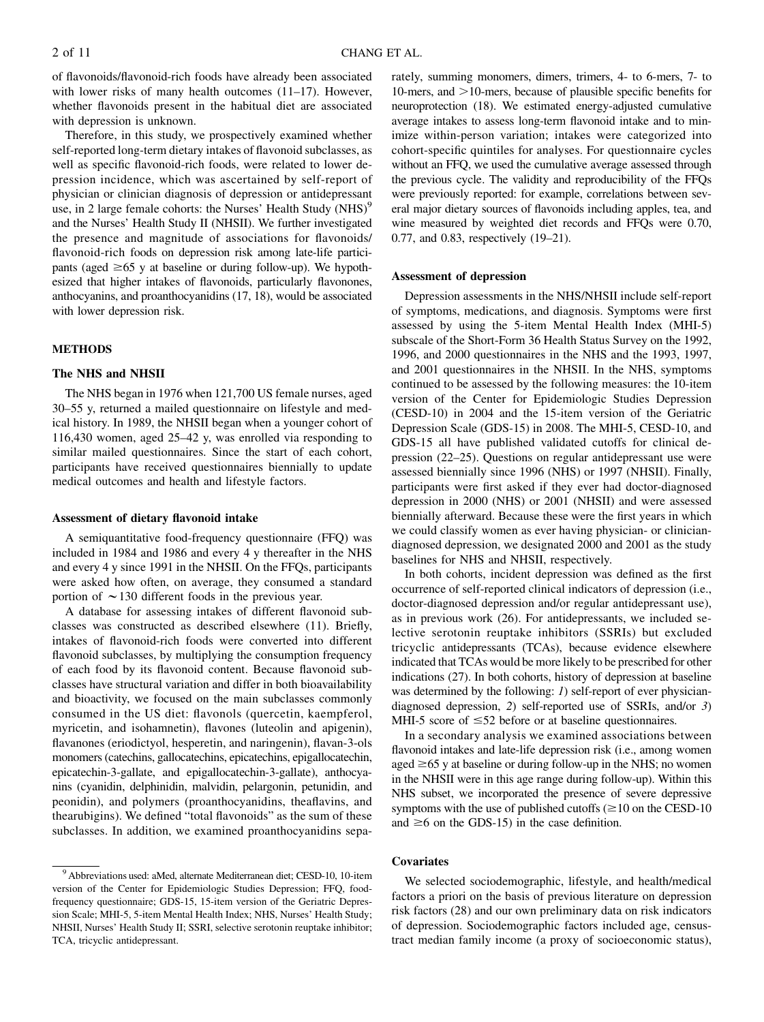of flavonoids/flavonoid-rich foods have already been associated with lower risks of many health outcomes (11–17). However, whether flavonoids present in the habitual diet are associated with depression is unknown.

Therefore, in this study, we prospectively examined whether self-reported long-term dietary intakes of flavonoid subclasses, as well as specific flavonoid-rich foods, were related to lower depression incidence, which was ascertained by self-report of physician or clinician diagnosis of depression or antidepressant use, in 2 large female cohorts: the Nurses' Health Study (NHS)<sup>9</sup> and the Nurses' Health Study II (NHSII). We further investigated the presence and magnitude of associations for flavonoids/ flavonoid-rich foods on depression risk among late-life participants (aged  $\geq 65$  y at baseline or during follow-up). We hypothesized that higher intakes of flavonoids, particularly flavonones, anthocyanins, and proanthocyanidins (17, 18), would be associated with lower depression risk.

# **METHODS**

## The NHS and NHSII

The NHS began in 1976 when 121,700 US female nurses, aged 30–55 y, returned a mailed questionnaire on lifestyle and medical history. In 1989, the NHSII began when a younger cohort of 116,430 women, aged 25–42 y, was enrolled via responding to similar mailed questionnaires. Since the start of each cohort, participants have received questionnaires biennially to update medical outcomes and health and lifestyle factors.

#### Assessment of dietary flavonoid intake

A semiquantitative food-frequency questionnaire (FFQ) was included in 1984 and 1986 and every 4 y thereafter in the NHS and every 4 y since 1991 in the NHSII. On the FFQs, participants were asked how often, on average, they consumed a standard portion of  $\sim$  130 different foods in the previous year.

A database for assessing intakes of different flavonoid subclasses was constructed as described elsewhere (11). Briefly, intakes of flavonoid-rich foods were converted into different flavonoid subclasses, by multiplying the consumption frequency of each food by its flavonoid content. Because flavonoid subclasses have structural variation and differ in both bioavailability and bioactivity, we focused on the main subclasses commonly consumed in the US diet: flavonols (quercetin, kaempferol, myricetin, and isohamnetin), flavones (luteolin and apigenin), flavanones (eriodictyol, hesperetin, and naringenin), flavan-3-ols monomers (catechins, gallocatechins, epicatechins, epigallocatechin, epicatechin-3-gallate, and epigallocatechin-3-gallate), anthocyanins (cyanidin, delphinidin, malvidin, pelargonin, petunidin, and peonidin), and polymers (proanthocyanidins, theaflavins, and thearubigins). We defined "total flavonoids" as the sum of these subclasses. In addition, we examined proanthocyanidins separately, summing monomers, dimers, trimers, 4- to 6-mers, 7- to 10-mers, and  $>$ 10-mers, because of plausible specific benefits for neuroprotection (18). We estimated energy-adjusted cumulative average intakes to assess long-term flavonoid intake and to minimize within-person variation; intakes were categorized into cohort-specific quintiles for analyses. For questionnaire cycles without an FFQ, we used the cumulative average assessed through the previous cycle. The validity and reproducibility of the FFQs were previously reported: for example, correlations between several major dietary sources of flavonoids including apples, tea, and wine measured by weighted diet records and FFQs were 0.70, 0.77, and 0.83, respectively (19–21).

#### Assessment of depression

Depression assessments in the NHS/NHSII include self-report of symptoms, medications, and diagnosis. Symptoms were first assessed by using the 5-item Mental Health Index (MHI-5) subscale of the Short-Form 36 Health Status Survey on the 1992, 1996, and 2000 questionnaires in the NHS and the 1993, 1997, and 2001 questionnaires in the NHSII. In the NHS, symptoms continued to be assessed by the following measures: the 10-item version of the Center for Epidemiologic Studies Depression (CESD-10) in 2004 and the 15-item version of the Geriatric Depression Scale (GDS-15) in 2008. The MHI-5, CESD-10, and GDS-15 all have published validated cutoffs for clinical depression (22–25). Questions on regular antidepressant use were assessed biennially since 1996 (NHS) or 1997 (NHSII). Finally, participants were first asked if they ever had doctor-diagnosed depression in 2000 (NHS) or 2001 (NHSII) and were assessed biennially afterward. Because these were the first years in which we could classify women as ever having physician- or cliniciandiagnosed depression, we designated 2000 and 2001 as the study baselines for NHS and NHSII, respectively.

In both cohorts, incident depression was defined as the first occurrence of self-reported clinical indicators of depression (i.e., doctor-diagnosed depression and/or regular antidepressant use), as in previous work (26). For antidepressants, we included selective serotonin reuptake inhibitors (SSRIs) but excluded tricyclic antidepressants (TCAs), because evidence elsewhere indicated that TCAs would be more likely to be prescribed for other indications (27). In both cohorts, history of depression at baseline was determined by the following: *I*) self-report of ever physiciandiagnosed depression, 2) self-reported use of SSRIs, and/or 3) MHI-5 score of  $\leq 52$  before or at baseline questionnaires.

In a secondary analysis we examined associations between flavonoid intakes and late-life depression risk (i.e., among women aged  $\geq 65$  y at baseline or during follow-up in the NHS; no women in the NHSII were in this age range during follow-up). Within this NHS subset, we incorporated the presence of severe depressive symptoms with the use of published cutoffs  $(\geq 10$  on the CESD-10 and  $\geq 6$  on the GDS-15) in the case definition.

#### **Covariates**

We selected sociodemographic, lifestyle, and health/medical factors a priori on the basis of previous literature on depression risk factors (28) and our own preliminary data on risk indicators of depression. Sociodemographic factors included age, censustract median family income (a proxy of socioeconomic status),

<sup>9</sup> Abbreviations used: aMed, alternate Mediterranean diet; CESD-10, 10-item version of the Center for Epidemiologic Studies Depression; FFQ, foodfrequency questionnaire; GDS-15, 15-item version of the Geriatric Depression Scale; MHI-5, 5-item Mental Health Index; NHS, Nurses' Health Study; NHSII, Nurses' Health Study II; SSRI, selective serotonin reuptake inhibitor; TCA, tricyclic antidepressant.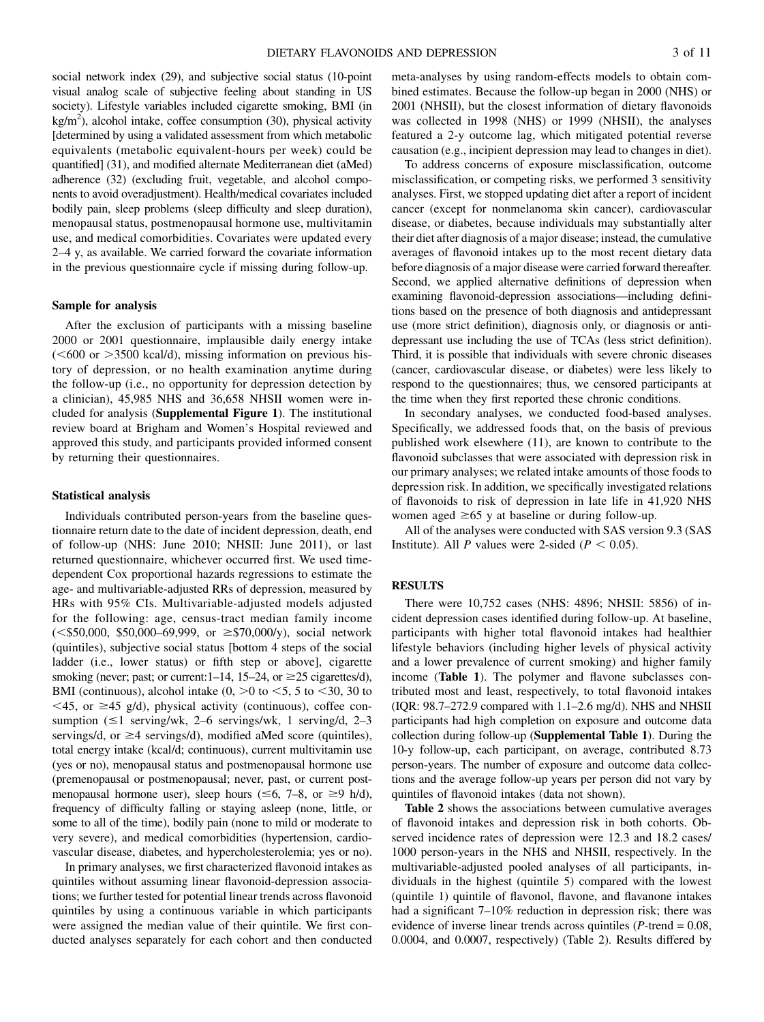social network index (29), and subjective social status (10-point visual analog scale of subjective feeling about standing in US society). Lifestyle variables included cigarette smoking, BMI (in  $\text{kg/m}^2$ ), alcohol intake, coffee consumption (30), physical activity [determined by using a validated assessment from which metabolic equivalents (metabolic equivalent-hours per week) could be quantified] (31), and modified alternate Mediterranean diet (aMed) adherence (32) (excluding fruit, vegetable, and alcohol components to avoid overadjustment). Health/medical covariates included bodily pain, sleep problems (sleep difficulty and sleep duration), menopausal status, postmenopausal hormone use, multivitamin use, and medical comorbidities. Covariates were updated every 2–4 y, as available. We carried forward the covariate information in the previous questionnaire cycle if missing during follow-up.

## Sample for analysis

After the exclusion of participants with a missing baseline 2000 or 2001 questionnaire, implausible daily energy intake  $(<600$  or  $>3500$  kcal/d), missing information on previous history of depression, or no health examination anytime during the follow-up (i.e., no opportunity for depression detection by a clinician), 45,985 NHS and 36,658 NHSII women were included for analysis (Supplemental Figure 1). The institutional review board at Brigham and Women's Hospital reviewed and approved this study, and participants provided informed consent by returning their questionnaires.

#### Statistical analysis

Individuals contributed person-years from the baseline questionnaire return date to the date of incident depression, death, end of follow-up (NHS: June 2010; NHSII: June 2011), or last returned questionnaire, whichever occurred first. We used timedependent Cox proportional hazards regressions to estimate the age- and multivariable-adjusted RRs of depression, measured by HRs with 95% CIs. Multivariable-adjusted models adjusted for the following: age, census-tract median family income  $(<\$50,000, \$50,000-69,999,$  or  $\geq$ \$70,000/y), social network (quintiles), subjective social status [bottom 4 steps of the social ladder (i.e., lower status) or fifth step or above], cigarette smoking (never; past; or current:  $1-14$ ,  $15-24$ , or  $\geq 25$  cigarettes/d), BMI (continuous), alcohol intake  $(0, >0$  to  $<5$ , 5 to  $<30$ , 30 to  $\leq$ 45, or  $\geq$ 45 g/d), physical activity (continuous), coffee consumption ( $\leq 1$  serving/wk, 2–6 servings/wk, 1 serving/d, 2–3 servings/d, or  $\geq$ 4 servings/d), modified aMed score (quintiles), total energy intake (kcal/d; continuous), current multivitamin use (yes or no), menopausal status and postmenopausal hormone use (premenopausal or postmenopausal; never, past, or current postmenopausal hormone user), sleep hours ( $\leq 6$ , 7–8, or  $\geq 9$  h/d), frequency of difficulty falling or staying asleep (none, little, or some to all of the time), bodily pain (none to mild or moderate to very severe), and medical comorbidities (hypertension, cardiovascular disease, diabetes, and hypercholesterolemia; yes or no).

In primary analyses, we first characterized flavonoid intakes as quintiles without assuming linear flavonoid-depression associations; we further tested for potential linear trends across flavonoid quintiles by using a continuous variable in which participants were assigned the median value of their quintile. We first conducted analyses separately for each cohort and then conducted meta-analyses by using random-effects models to obtain combined estimates. Because the follow-up began in 2000 (NHS) or 2001 (NHSII), but the closest information of dietary flavonoids was collected in 1998 (NHS) or 1999 (NHSII), the analyses featured a 2-y outcome lag, which mitigated potential reverse causation (e.g., incipient depression may lead to changes in diet).

To address concerns of exposure misclassification, outcome misclassification, or competing risks, we performed 3 sensitivity analyses. First, we stopped updating diet after a report of incident cancer (except for nonmelanoma skin cancer), cardiovascular disease, or diabetes, because individuals may substantially alter their diet after diagnosis of a major disease; instead, the cumulative averages of flavonoid intakes up to the most recent dietary data before diagnosis of a major disease were carried forward thereafter. Second, we applied alternative definitions of depression when examining flavonoid-depression associations—including definitions based on the presence of both diagnosis and antidepressant use (more strict definition), diagnosis only, or diagnosis or antidepressant use including the use of TCAs (less strict definition). Third, it is possible that individuals with severe chronic diseases (cancer, cardiovascular disease, or diabetes) were less likely to respond to the questionnaires; thus, we censored participants at the time when they first reported these chronic conditions.

In secondary analyses, we conducted food-based analyses. Specifically, we addressed foods that, on the basis of previous published work elsewhere (11), are known to contribute to the flavonoid subclasses that were associated with depression risk in our primary analyses; we related intake amounts of those foods to depression risk. In addition, we specifically investigated relations of flavonoids to risk of depression in late life in 41,920 NHS women aged  $\geq 65$  y at baseline or during follow-up.

All of the analyses were conducted with SAS version 9.3 (SAS Institute). All P values were 2-sided ( $P < 0.05$ ).

#### RESULTS

There were 10,752 cases (NHS: 4896; NHSII: 5856) of incident depression cases identified during follow-up. At baseline, participants with higher total flavonoid intakes had healthier lifestyle behaviors (including higher levels of physical activity and a lower prevalence of current smoking) and higher family income (Table 1). The polymer and flavone subclasses contributed most and least, respectively, to total flavonoid intakes (IQR: 98.7–272.9 compared with 1.1–2.6 mg/d). NHS and NHSII participants had high completion on exposure and outcome data collection during follow-up (Supplemental Table 1). During the 10-y follow-up, each participant, on average, contributed 8.73 person-years. The number of exposure and outcome data collections and the average follow-up years per person did not vary by quintiles of flavonoid intakes (data not shown).

Table 2 shows the associations between cumulative averages of flavonoid intakes and depression risk in both cohorts. Observed incidence rates of depression were 12.3 and 18.2 cases/ 1000 person-years in the NHS and NHSII, respectively. In the multivariable-adjusted pooled analyses of all participants, individuals in the highest (quintile 5) compared with the lowest (quintile 1) quintile of flavonol, flavone, and flavanone intakes had a significant 7–10% reduction in depression risk; there was evidence of inverse linear trends across quintiles ( $P$ -trend = 0.08, 0.0004, and 0.0007, respectively) (Table 2). Results differed by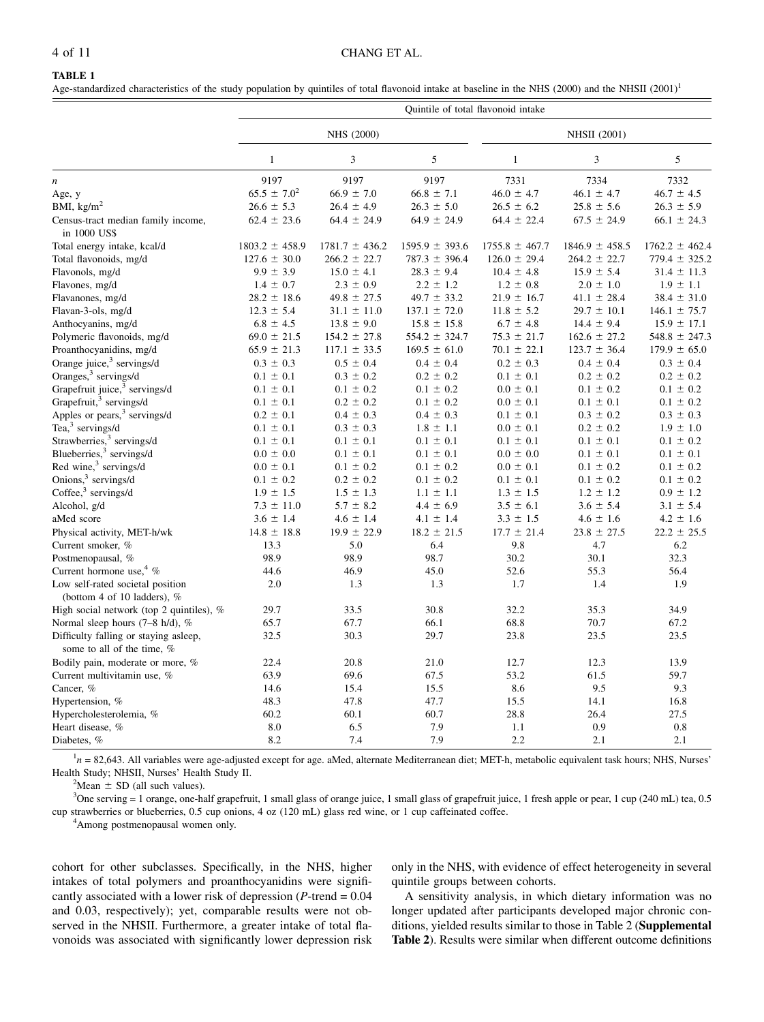# TABLE 1

Age-standardized characteristics of the study population by quintiles of total flavonoid intake at baseline in the NHS (2000) and the NHSII (2001)<sup>1</sup>

| n<br>Age, y<br>BMI, $\text{kg/m}^2$<br>Census-tract median family income,<br>in 1000 US\$<br>Total energy intake, kcal/d<br>Total flavonoids, mg/d<br>Flavonols, mg/d<br>Flavones, mg/d<br>Flavanones, mg/d | $\mathbf{1}$<br>9197<br>$65.5 \pm 7.0^2$<br>$26.6 \pm 5.3$<br>$62.4 \pm 23.6$<br>$1803.2 \pm 458.9$<br>$127.6 \pm 30.0$<br>$9.9 \pm 3.9$<br>$1.4 \pm 0.7$<br>$28.2 \pm 18.6$<br>$12.3 \pm 5.4$<br>$6.8 \pm 4.5$<br>$69.0 \pm 21.5$ | NHS (2000)<br>3<br>9197<br>$66.9 \pm 7.0$<br>$26.4 \pm 4.9$<br>$64.4 \pm 24.9$<br>$1781.7 \pm 436.2$<br>$266.2 \pm 22.7$<br>$15.0 \pm 4.1$<br>$2.3 \pm 0.9$<br>$49.8 \pm 27.5$<br>$31.1 \pm 11.0$ | $\mathfrak s$<br>9197<br>$66.8 \pm 7.1$<br>$26.3 \pm 5.0$<br>$64.9 \pm 24.9$<br>$1595.9 \pm 393.6$<br>$787.3 \pm 396.4$<br>$28.3 \pm 9.4$<br>$2.2 \pm 1.2$<br>$49.7 \pm 33.2$ | $\mathbf{1}$<br>7331<br>$46.0 \pm 4.7$<br>$26.5 \pm 6.2$<br>$64.4 \pm 22.4$<br>$1755.8 \pm 467.7$<br>$126.0 \pm 29.4$<br>$10.4 \pm 4.8$<br>$1.2 \pm 0.8$ | <b>NHSII</b> (2001)<br>3<br>7334<br>$46.1 \pm 4.7$<br>$25.8 \pm 5.6$<br>$67.5 \pm 24.9$<br>$1846.9 \pm 458.5$<br>$264.2 \pm 22.7$<br>$15.9 \pm 5.4$ | 5<br>7332<br>$46.7 \pm 4.5$<br>$26.3 \pm 5.9$<br>$66.1 \pm 24.3$<br>$1762.2 \pm 462.4$<br>$779.4 \pm 325.2$<br>$31.4 \pm 11.3$ |
|-------------------------------------------------------------------------------------------------------------------------------------------------------------------------------------------------------------|------------------------------------------------------------------------------------------------------------------------------------------------------------------------------------------------------------------------------------|---------------------------------------------------------------------------------------------------------------------------------------------------------------------------------------------------|-------------------------------------------------------------------------------------------------------------------------------------------------------------------------------|----------------------------------------------------------------------------------------------------------------------------------------------------------|-----------------------------------------------------------------------------------------------------------------------------------------------------|--------------------------------------------------------------------------------------------------------------------------------|
|                                                                                                                                                                                                             |                                                                                                                                                                                                                                    |                                                                                                                                                                                                   |                                                                                                                                                                               |                                                                                                                                                          |                                                                                                                                                     |                                                                                                                                |
|                                                                                                                                                                                                             |                                                                                                                                                                                                                                    |                                                                                                                                                                                                   |                                                                                                                                                                               |                                                                                                                                                          |                                                                                                                                                     |                                                                                                                                |
|                                                                                                                                                                                                             |                                                                                                                                                                                                                                    |                                                                                                                                                                                                   |                                                                                                                                                                               |                                                                                                                                                          |                                                                                                                                                     |                                                                                                                                |
|                                                                                                                                                                                                             |                                                                                                                                                                                                                                    |                                                                                                                                                                                                   |                                                                                                                                                                               |                                                                                                                                                          |                                                                                                                                                     |                                                                                                                                |
|                                                                                                                                                                                                             |                                                                                                                                                                                                                                    |                                                                                                                                                                                                   |                                                                                                                                                                               |                                                                                                                                                          |                                                                                                                                                     |                                                                                                                                |
|                                                                                                                                                                                                             |                                                                                                                                                                                                                                    |                                                                                                                                                                                                   |                                                                                                                                                                               |                                                                                                                                                          |                                                                                                                                                     |                                                                                                                                |
|                                                                                                                                                                                                             |                                                                                                                                                                                                                                    |                                                                                                                                                                                                   |                                                                                                                                                                               |                                                                                                                                                          |                                                                                                                                                     |                                                                                                                                |
|                                                                                                                                                                                                             |                                                                                                                                                                                                                                    |                                                                                                                                                                                                   |                                                                                                                                                                               |                                                                                                                                                          |                                                                                                                                                     |                                                                                                                                |
|                                                                                                                                                                                                             |                                                                                                                                                                                                                                    |                                                                                                                                                                                                   |                                                                                                                                                                               |                                                                                                                                                          |                                                                                                                                                     |                                                                                                                                |
|                                                                                                                                                                                                             |                                                                                                                                                                                                                                    |                                                                                                                                                                                                   |                                                                                                                                                                               |                                                                                                                                                          | $2.0 \pm 1.0$                                                                                                                                       | $1.9 \pm 1.1$                                                                                                                  |
|                                                                                                                                                                                                             |                                                                                                                                                                                                                                    |                                                                                                                                                                                                   |                                                                                                                                                                               | $21.9 \pm 16.7$                                                                                                                                          | $41.1 \pm 28.4$                                                                                                                                     | $38.4 \pm 31.0$                                                                                                                |
| Flavan-3-ols, mg/d                                                                                                                                                                                          |                                                                                                                                                                                                                                    |                                                                                                                                                                                                   | $137.1 \pm 72.0$                                                                                                                                                              | $11.8 \pm 5.2$                                                                                                                                           | $29.7 \pm 10.1$                                                                                                                                     | $146.1 \pm 75.7$                                                                                                               |
| Anthocyanins, mg/d                                                                                                                                                                                          |                                                                                                                                                                                                                                    | $13.8 \pm 9.0$                                                                                                                                                                                    | $15.8 \pm 15.8$                                                                                                                                                               | $6.7 \pm 4.8$                                                                                                                                            | $14.4 \pm 9.4$                                                                                                                                      | $15.9 \pm 17.1$                                                                                                                |
| Polymeric flavonoids, mg/d                                                                                                                                                                                  |                                                                                                                                                                                                                                    | $154.2 \pm 27.8$                                                                                                                                                                                  | $554.2 \pm 324.7$                                                                                                                                                             | $75.3 \pm 21.7$                                                                                                                                          | $162.6 \pm 27.2$                                                                                                                                    | $548.8 \pm 247.3$                                                                                                              |
| Proanthocyanidins, mg/d                                                                                                                                                                                     | $65.9 \pm 21.3$                                                                                                                                                                                                                    | $117.1 \pm 33.5$                                                                                                                                                                                  | $169.5 \pm 61.0$                                                                                                                                                              | $70.1 \pm 22.1$                                                                                                                                          | $123.7 \pm 36.4$                                                                                                                                    | $179.9 \pm 65.0$                                                                                                               |
| Orange juice, <sup>3</sup> servings/d                                                                                                                                                                       | $0.3 \pm 0.3$                                                                                                                                                                                                                      | $0.5 \pm 0.4$                                                                                                                                                                                     | $0.4 \pm 0.4$                                                                                                                                                                 | $0.2 \pm 0.3$                                                                                                                                            | $0.4 \pm 0.4$                                                                                                                                       | $0.3 \pm 0.4$                                                                                                                  |
| Oranges, <sup>3</sup> servings/d                                                                                                                                                                            | $0.1 \pm 0.1$                                                                                                                                                                                                                      | $0.3 \pm 0.2$                                                                                                                                                                                     | $0.2 \pm 0.2$                                                                                                                                                                 | $0.1 \pm 0.1$                                                                                                                                            | $0.2 \pm 0.2$                                                                                                                                       | $0.2 \pm 0.2$                                                                                                                  |
| Grapefruit juice, <sup>3</sup> servings/d                                                                                                                                                                   | $0.1 \pm 0.1$                                                                                                                                                                                                                      | $0.1 \pm 0.2$                                                                                                                                                                                     | $0.1 \pm 0.2$                                                                                                                                                                 | $0.0 \pm 0.1$                                                                                                                                            | $0.1 \pm 0.2$                                                                                                                                       | $0.1 \pm 0.2$                                                                                                                  |
| Grapefruit, <sup>3</sup> servings/d                                                                                                                                                                         | $0.1 \pm 0.1$                                                                                                                                                                                                                      | $0.2 \pm 0.2$                                                                                                                                                                                     | $0.1 \pm 0.2$                                                                                                                                                                 | $0.0 \pm 0.1$                                                                                                                                            | $0.1 \pm 0.1$                                                                                                                                       | $0.1 \pm 0.2$                                                                                                                  |
| Apples or pears, <sup>3</sup> servings/d                                                                                                                                                                    | $0.2 \pm 0.1$                                                                                                                                                                                                                      | $0.4 \pm 0.3$                                                                                                                                                                                     | $0.4 \pm 0.3$                                                                                                                                                                 | $0.1 \pm 0.1$                                                                                                                                            | $0.3 \pm 0.2$                                                                                                                                       | $0.3 \pm 0.3$                                                                                                                  |
| Tea, $3$ servings/d                                                                                                                                                                                         | $0.1 \pm 0.1$                                                                                                                                                                                                                      | $0.3 \pm 0.3$                                                                                                                                                                                     | $1.8 \pm 1.1$                                                                                                                                                                 | $0.0 \pm 0.1$                                                                                                                                            | $0.2 \pm 0.2$                                                                                                                                       | $1.9 \pm 1.0$                                                                                                                  |
| Strawberries, <sup>3</sup> servings/d                                                                                                                                                                       | $0.1 \pm 0.1$                                                                                                                                                                                                                      | $0.1 \pm 0.1$                                                                                                                                                                                     | $0.1 \pm 0.1$                                                                                                                                                                 | $0.1 \pm 0.1$                                                                                                                                            | $0.1 \pm 0.1$                                                                                                                                       | $0.1 \pm 0.2$                                                                                                                  |
| Blueberries, <sup>3</sup> servings/d                                                                                                                                                                        | $0.0 \pm 0.0$                                                                                                                                                                                                                      | $0.1 \pm 0.1$                                                                                                                                                                                     | $0.1 \pm 0.1$                                                                                                                                                                 | $0.0 \pm 0.0$                                                                                                                                            | $0.1 \pm 0.1$                                                                                                                                       | $0.1 \pm 0.1$                                                                                                                  |
| Red wine, <sup>3</sup> servings/d                                                                                                                                                                           | $0.0 \pm 0.1$                                                                                                                                                                                                                      | $0.1 \pm 0.2$                                                                                                                                                                                     | $0.1 \pm 0.2$                                                                                                                                                                 | $0.0 \pm 0.1$                                                                                                                                            | $0.1 \pm 0.2$                                                                                                                                       | $0.1 \pm 0.2$                                                                                                                  |
| Onions, <sup>3</sup> servings/d                                                                                                                                                                             | $0.1 \pm 0.2$                                                                                                                                                                                                                      | $0.2 \pm 0.2$                                                                                                                                                                                     | $0.1 \pm 0.2$                                                                                                                                                                 | $0.1 \pm 0.1$                                                                                                                                            | $0.1 \pm 0.2$                                                                                                                                       | $0.1 \pm 0.2$                                                                                                                  |
| Coffee, $3$ servings/d                                                                                                                                                                                      | $1.9 \pm 1.5$                                                                                                                                                                                                                      | $1.5 \pm 1.3$                                                                                                                                                                                     | $1.1 \pm 1.1$                                                                                                                                                                 | $1.3 \pm 1.5$                                                                                                                                            | $1.2 \pm 1.2$                                                                                                                                       | $0.9 \pm 1.2$                                                                                                                  |
| Alcohol, g/d                                                                                                                                                                                                | $7.3 \pm 11.0$                                                                                                                                                                                                                     | $5.7 \pm 8.2$                                                                                                                                                                                     | $4.4 \pm 6.9$                                                                                                                                                                 | $3.5 \pm 6.1$                                                                                                                                            | $3.6 \pm 5.4$                                                                                                                                       | $3.1 \pm 5.4$                                                                                                                  |
| aMed score                                                                                                                                                                                                  | $3.6 \pm 1.4$                                                                                                                                                                                                                      | $4.6 \pm 1.4$                                                                                                                                                                                     | $4.1 \pm 1.4$                                                                                                                                                                 | $3.3 \pm 1.5$                                                                                                                                            | $4.6 \pm 1.6$                                                                                                                                       | $4.2 \pm 1.6$                                                                                                                  |
| Physical activity, MET-h/wk                                                                                                                                                                                 | $14.8 \pm 18.8$                                                                                                                                                                                                                    | $19.9 \pm 22.9$                                                                                                                                                                                   | $18.2 \pm 21.5$                                                                                                                                                               | $17.7 \pm 21.4$                                                                                                                                          | $23.8 \pm 27.5$                                                                                                                                     | $22.2 \pm 25.5$                                                                                                                |
| Current smoker, %                                                                                                                                                                                           | 13.3                                                                                                                                                                                                                               | 5.0                                                                                                                                                                                               | 6.4                                                                                                                                                                           | 9.8                                                                                                                                                      | 4.7                                                                                                                                                 | 6.2                                                                                                                            |
| Postmenopausal, %                                                                                                                                                                                           | 98.9                                                                                                                                                                                                                               | 98.9                                                                                                                                                                                              | 98.7                                                                                                                                                                          | 30.2                                                                                                                                                     | 30.1                                                                                                                                                | 32.3                                                                                                                           |
| Current hormone use, $4\%$                                                                                                                                                                                  | 44.6                                                                                                                                                                                                                               | 46.9                                                                                                                                                                                              | 45.0                                                                                                                                                                          | 52.6                                                                                                                                                     | 55.3                                                                                                                                                | 56.4                                                                                                                           |
| Low self-rated societal position<br>(bottom 4 of 10 ladders), $%$                                                                                                                                           | 2.0                                                                                                                                                                                                                                | 1.3                                                                                                                                                                                               | 1.3                                                                                                                                                                           | 1.7                                                                                                                                                      | 1.4                                                                                                                                                 | 1.9                                                                                                                            |
| High social network (top 2 quintiles), %                                                                                                                                                                    | 29.7                                                                                                                                                                                                                               | 33.5                                                                                                                                                                                              | 30.8                                                                                                                                                                          | 32.2                                                                                                                                                     | 35.3                                                                                                                                                | 34.9                                                                                                                           |
| Normal sleep hours $(7-8 h/d)$ , %                                                                                                                                                                          | 65.7                                                                                                                                                                                                                               | 67.7                                                                                                                                                                                              | 66.1                                                                                                                                                                          | 68.8                                                                                                                                                     | 70.7                                                                                                                                                | 67.2                                                                                                                           |
| Difficulty falling or staying asleep,<br>some to all of the time, %                                                                                                                                         | 32.5                                                                                                                                                                                                                               | 30.3                                                                                                                                                                                              | 29.7                                                                                                                                                                          | 23.8                                                                                                                                                     | 23.5                                                                                                                                                | 23.5                                                                                                                           |
| Bodily pain, moderate or more, %                                                                                                                                                                            | 22.4                                                                                                                                                                                                                               | 20.8                                                                                                                                                                                              | 21.0                                                                                                                                                                          | 12.7                                                                                                                                                     | 12.3                                                                                                                                                | 13.9                                                                                                                           |
| Current multivitamin use, %                                                                                                                                                                                 | 63.9                                                                                                                                                                                                                               | 69.6                                                                                                                                                                                              | 67.5                                                                                                                                                                          | 53.2                                                                                                                                                     | 61.5                                                                                                                                                | 59.7                                                                                                                           |
| Cancer, %                                                                                                                                                                                                   | 14.6                                                                                                                                                                                                                               | 15.4                                                                                                                                                                                              | 15.5                                                                                                                                                                          | 8.6                                                                                                                                                      | 9.5                                                                                                                                                 | 9.3                                                                                                                            |
| Hypertension, %                                                                                                                                                                                             | 48.3                                                                                                                                                                                                                               | 47.8                                                                                                                                                                                              | 47.7                                                                                                                                                                          | 15.5                                                                                                                                                     | 14.1                                                                                                                                                | 16.8                                                                                                                           |
| Hypercholesterolemia, %                                                                                                                                                                                     | 60.2                                                                                                                                                                                                                               | 60.1                                                                                                                                                                                              | 60.7                                                                                                                                                                          | 28.8                                                                                                                                                     | 26.4                                                                                                                                                | 27.5                                                                                                                           |
| Heart disease, %                                                                                                                                                                                            | 8.0                                                                                                                                                                                                                                | 6.5                                                                                                                                                                                               | 7.9                                                                                                                                                                           | 1.1                                                                                                                                                      | 0.9                                                                                                                                                 | 0.8                                                                                                                            |
| Diabetes, %                                                                                                                                                                                                 | 8.2                                                                                                                                                                                                                                | 7.4                                                                                                                                                                                               | 7.9                                                                                                                                                                           | 2.2                                                                                                                                                      | 2.1                                                                                                                                                 | 2.1                                                                                                                            |

 $n_{1} = 82,643$ . All variables were age-adjusted except for age. aMed, alternate Mediterranean diet; MET-h, metabolic equivalent task hours; NHS, Nurses' Health Study; NHSII, Nurses' Health Study II.

 $^{2}$ Mean  $\pm$  SD (all such values).<br> $^{3}$ One serving = 1 orange one has

 $^3$ One serving = 1 orange, one-half grapefruit, 1 small glass of orange juice, 1 small glass of grapefruit juice, 1 fresh apple or pear, 1 cup (240 mL) tea, 0.5 cup strawberries or blueberries, 0.5 cup onions, 4 oz (120 mL) glass red wine, or 1 cup caffeinated coffee. <sup>4</sup>

Among postmenopausal women only.

cohort for other subclasses. Specifically, in the NHS, higher intakes of total polymers and proanthocyanidins were significantly associated with a lower risk of depression (P-trend = 0.04 and 0.03, respectively); yet, comparable results were not observed in the NHSII. Furthermore, a greater intake of total flavonoids was associated with significantly lower depression risk

only in the NHS, with evidence of effect heterogeneity in several quintile groups between cohorts.

A sensitivity analysis, in which dietary information was no longer updated after participants developed major chronic conditions, yielded results similar to those in Table 2 (Supplemental Table 2). Results were similar when different outcome definitions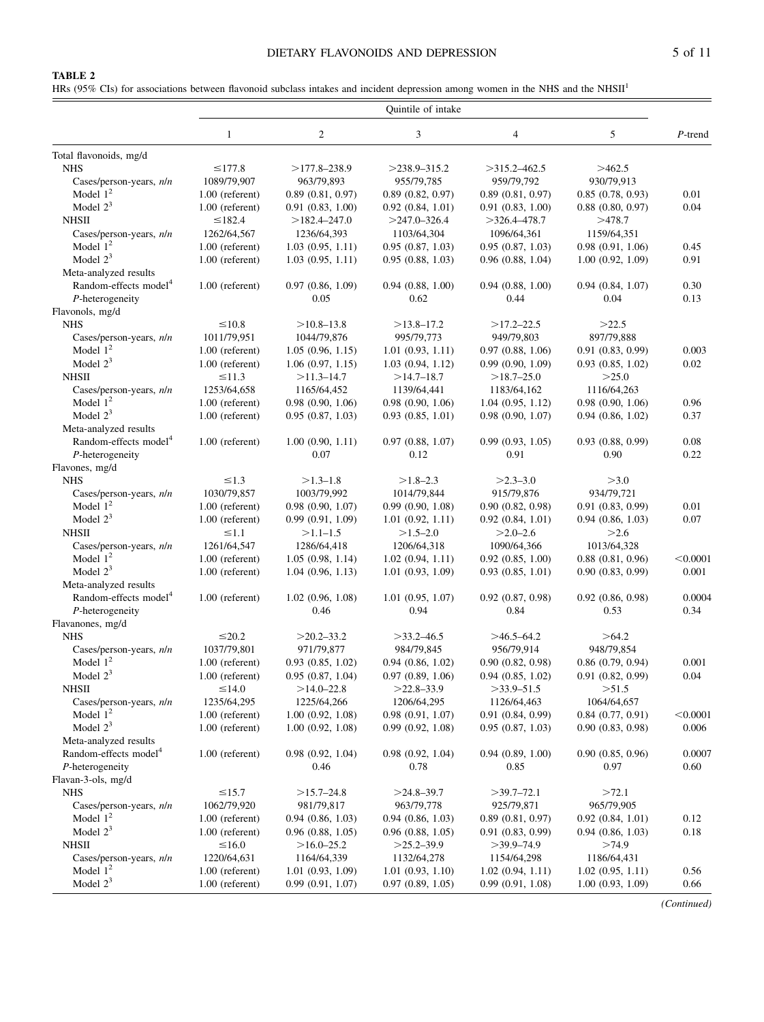# DIETARY FLAVONOIDS AND DEPRESSION 5 of 11

# TABLE 2

HRs (95% CIs) for associations between flavonoid subclass intakes and incident depression among women in the NHS and the NHSII<sup>1</sup>

|                                   |                   |                               | Quintile of intake    |                       |                       |            |
|-----------------------------------|-------------------|-------------------------------|-----------------------|-----------------------|-----------------------|------------|
|                                   | 1                 | $\overline{2}$                | 3                     | $\overline{4}$        | 5                     | $P$ -trend |
| Total flavonoids, mg/d            |                   |                               |                       |                       |                       |            |
| <b>NHS</b>                        | $\leq$ 177.8      | $>177.8-238.9$                | $>$ 238.9–315.2       | $>315.2 - 462.5$      | >462.5                |            |
| Cases/person-years, n/n           | 1089/79,907       | 963/79,893                    | 955/79,785            | 959/79,792            | 930/79,913            |            |
| Model $1^2$                       | $1.00$ (referent) | 0.89(0.81, 0.97)              | $0.89$ $(0.82, 0.97)$ | 0.89(0.81, 0.97)      | 0.85(0.78, 0.93)      | 0.01       |
| Model $2^3$                       | $1.00$ (referent) | 0.91(0.83, 1.00)              | 0.92(0.84, 1.01)      | 0.91(0.83, 1.00)      | 0.88(0.80, 0.97)      | 0.04       |
| <b>NHSII</b>                      | $\leq$ 182.4      | $>182.4 - 247.0$              | $>247.0 - 326.4$      | $>$ 326.4–478.7       | >478.7                |            |
| Cases/person-years, n/n           | 1262/64,567       | 1236/64,393                   | 1103/64,304           | 1096/64,361           | 1159/64,351           |            |
| Model $12$                        | $1.00$ (referent) | 1.03(0.95, 1.11)              | 0.95(0.87, 1.03)      | 0.95(0.87, 1.03)      | 0.98(0.91, 1.06)      | 0.45       |
| Model $2^3$                       | $1.00$ (referent) | 1.03(0.95, 1.11)              | 0.95(0.88, 1.03)      | 0.96(0.88, 1.04)      | 1.00(0.92, 1.09)      | 0.91       |
| Meta-analyzed results             |                   |                               |                       |                       |                       |            |
| Random-effects model <sup>4</sup> | $1.00$ (referent) | 0.97(0.86, 1.09)              | 0.94(0.88, 1.00)      | 0.94(0.88, 1.00)      | 0.94(0.84, 1.07)      | 0.30       |
| P-heterogeneity                   |                   | 0.05                          | 0.62                  | 0.44                  | 0.04                  | 0.13       |
| Flavonols, mg/d                   |                   |                               |                       |                       |                       |            |
| <b>NHS</b>                        | $\leq 10.8$       |                               | $>13.8 - 17.2$        | $>17.2 - 22.5$        | >22.5                 |            |
| Cases/person-years, n/n           |                   | $>10.8 - 13.8$<br>1044/79,876 | 995/79,773            | 949/79,803            | 897/79,888            |            |
| Model $1^2$                       | 1011/79,951       |                               |                       |                       |                       |            |
|                                   | $1.00$ (referent) | 1.05(0.96, 1.15)              | 1.01(0.93, 1.11)      | 0.97(0.88, 1.06)      | 0.91(0.83, 0.99)      | 0.003      |
| Model $2^3$                       | $1.00$ (referent) | 1.06(0.97, 1.15)              | 1.03(0.94, 1.12)      | 0.99(0.90, 1.09)      | 0.93(0.85, 1.02)      | 0.02       |
| <b>NHSII</b>                      | $\leq$ 11.3       | $>11.3 - 14.7$                | $>14.7 - 18.7$        | $>18.7-25.0$          | >25.0                 |            |
| Cases/person-years, n/n           | 1253/64,658       | 1165/64,452                   | 1139/64,441           | 1183/64,162           | 1116/64,263           |            |
| Model $1^2$                       | $1.00$ (referent) | 0.98(0.90, 1.06)              | 0.98(0.90, 1.06)      | 1.04(0.95, 1.12)      | 0.98(0.90, 1.06)      | 0.96       |
| Model $2^3$                       | $1.00$ (referent) | 0.95(0.87, 1.03)              | 0.93(0.85, 1.01)      | 0.98(0.90, 1.07)      | 0.94(0.86, 1.02)      | 0.37       |
| Meta-analyzed results             |                   |                               |                       |                       |                       |            |
| Random-effects model <sup>4</sup> | $1.00$ (referent) | 1.00(0.90, 1.11)              | 0.97(0.88, 1.07)      | 0.99(0.93, 1.05)      | 0.93(0.88, 0.99)      | 0.08       |
| P-heterogeneity                   |                   | 0.07                          | 0.12                  | 0.91                  | 0.90                  | 0.22       |
| Flavones, mg/d                    |                   |                               |                       |                       |                       |            |
| <b>NHS</b>                        | $\leq 1.3$        | $>1.3-1.8$                    | $>1.8-2.3$            | $>2.3-3.0$            | >3.0                  |            |
| Cases/person-years, n/n           | 1030/79,857       | 1003/79,992                   | 1014/79,844           | 915/79,876            | 934/79,721            |            |
| Model $1^2$                       | $1.00$ (referent) | 0.98(0.90, 1.07)              | 0.99(0.90, 1.08)      | 0.90(0.82, 0.98)      | 0.91(0.83, 0.99)      | 0.01       |
| Model $2^3$                       | $1.00$ (referent) | 0.99(0.91, 1.09)              | 1.01(0.92, 1.11)      | 0.92(0.84, 1.01)      | 0.94(0.86, 1.03)      | 0.07       |
| <b>NHSII</b>                      | $\leq 1.1$        | $>1.1-1.5$                    | $>1.5-2.0$            | $>2.0 - 2.6$          | >2.6                  |            |
| Cases/person-years, n/n           | 1261/64,547       | 1286/64,418                   | 1206/64,318           | 1090/64,366           | 1013/64,328           |            |
| Model $1^2$                       | $1.00$ (referent) | 1.05(0.98, 1.14)              | 1.02(0.94, 1.11)      | 0.92(0.85, 1.00)      | 0.88(0.81, 0.96)      | < 0.0001   |
| Model $2^3$                       | $1.00$ (referent) | 1.04(0.96, 1.13)              | 1.01(0.93, 1.09)      | 0.93(0.85, 1.01)      | 0.90(0.83, 0.99)      | 0.001      |
| Meta-analyzed results             |                   |                               |                       |                       |                       |            |
| Random-effects model <sup>4</sup> | $1.00$ (referent) | 1.02(0.96, 1.08)              | $1.01$ $(0.95, 1.07)$ | $0.92$ $(0.87, 0.98)$ | $0.92$ $(0.86, 0.98)$ | 0.0004     |
| P-heterogeneity                   |                   | 0.46                          | 0.94                  | 0.84                  | 0.53                  | 0.34       |
|                                   |                   |                               |                       |                       |                       |            |
| Flavanones, mg/d                  |                   |                               |                       |                       |                       |            |
| <b>NHS</b>                        | $\leq 20.2$       | $>20.2 - 33.2$                | $>$ 33.2–46.5         | $>46.5 - 64.2$        | >64.2                 |            |
| Cases/person-years, $n/n$         | 1037/79,801       | 971/79,877                    | 984/79,845            | 956/79,914            | 948/79,854            |            |
| Model $12$                        | $1.00$ (referent) | 0.93(0.85, 1.02)              | 0.94(0.86, 1.02)      | 0.90(0.82, 0.98)      | $0.86$ $(0.79, 0.94)$ | 0.001      |
| Model $2^3$                       | $1.00$ (referent) | 0.95(0.87, 1.04)              | 0.97(0.89, 1.06)      | 0.94(0.85, 1.02)      | 0.91(0.82, 0.99)      | 0.04       |
| $N\text{HSII}$                    | $\leq$ 14.0       | $>14.0 - 22.8$                | $>22.8-33.9$          | $>$ 33.9–51.5         | >51.5                 |            |
| Cases/person-years, $n/n$         | 1235/64,295       | 1225/64,266                   | 1206/64,295           | 1126/64,463           | 1064/64,657           |            |
| Model $1^2$                       | $1.00$ (referent) | 1.00(0.92, 1.08)              | 0.98(0.91, 1.07)      | 0.91(0.84, 0.99)      | 0.84(0.77, 0.91)      | < 0.0001   |
| Model $2^3$                       | $1.00$ (referent) | 1.00(0.92, 1.08)              | 0.99(0.92, 1.08)      | 0.95(0.87, 1.03)      | 0.90(0.83, 0.98)      | 0.006      |
| Meta-analyzed results             |                   |                               |                       |                       |                       |            |
| Random-effects model <sup>4</sup> | $1.00$ (referent) | 0.98(0.92, 1.04)              | 0.98(0.92, 1.04)      | 0.94(0.89, 1.00)      | 0.90(0.85, 0.96)      | 0.0007     |
| P-heterogeneity                   |                   | 0.46                          | 0.78                  | 0.85                  | 0.97                  | 0.60       |
| Flavan-3-ols, mg/d                |                   |                               |                       |                       |                       |            |
| <b>NHS</b>                        | $\leq$ 15.7       | $>15.7-24.8$                  | $>24.8 - 39.7$        | $>$ 39.7–72.1         | >72.1                 |            |
| Cases/person-years, $n/n$         | 1062/79,920       | 981/79,817                    | 963/79,778            | 925/79,871            | 965/79,905            |            |
| Model $12$                        | $1.00$ (referent) | 0.94(0.86, 1.03)              | 0.94(0.86, 1.03)      | 0.89(0.81, 0.97)      | 0.92(0.84, 1.01)      | 0.12       |
| Model $2^3$                       | $1.00$ (referent) | 0.96(0.88, 1.05)              | 0.96(0.88, 1.05)      | 0.91(0.83, 0.99)      | 0.94(0.86, 1.03)      | 0.18       |
| <b>NHSII</b>                      | $\leq 16.0$       | $>16.0 - 25.2$                | $>25.2 - 39.9$        | $>$ 39.9–74.9         | >74.9                 |            |
| Cases/person-years, $n/n$         | 1220/64,631       | 1164/64,339                   | 1132/64,278           | 1154/64,298           | 1186/64,431           |            |
| Model $12$                        | $1.00$ (referent) | 1.01(0.93, 1.09)              | 1.01(0.93, 1.10)      | 1.02(0.94, 1.11)      | 1.02(0.95, 1.11)      | 0.56       |
| Model $2^3$                       |                   |                               |                       |                       |                       |            |
|                                   | $1.00$ (referent) | 0.99(0.91, 1.07)              | 0.97(0.89, 1.05)      | 0.99(0.91, 1.08)      | 1.00(0.93, 1.09)      | 0.66       |

(Continued)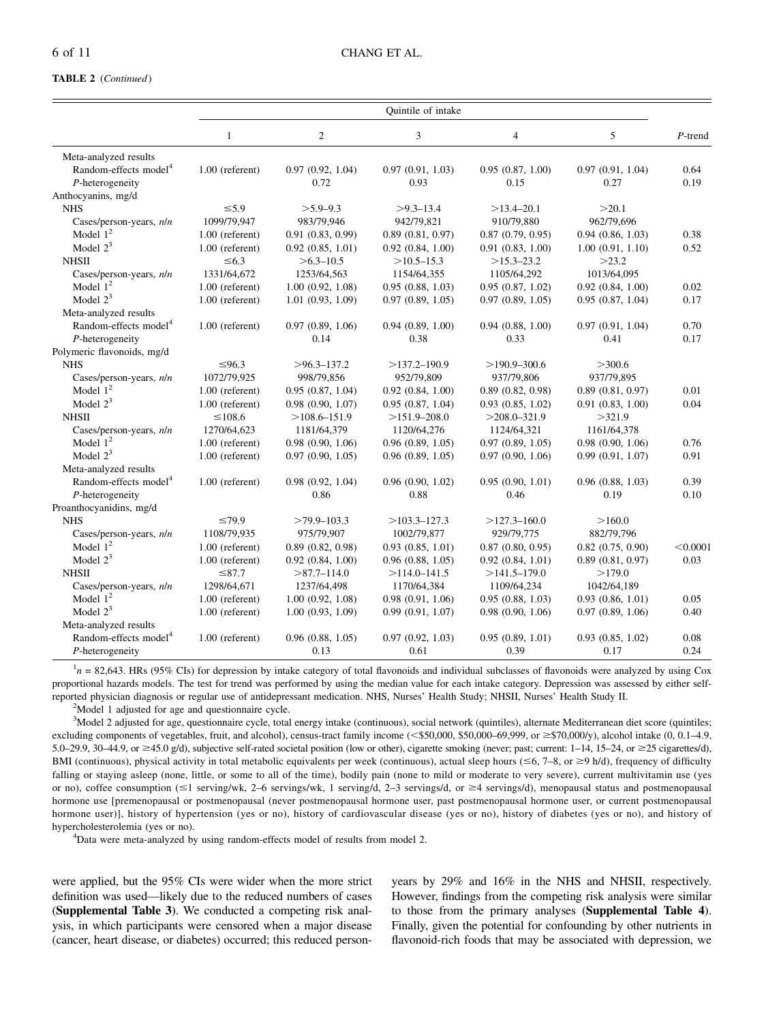# TABLE 2 (Continued)

|                                   | Quintile of intake |                  |                  |                  |                       |            |
|-----------------------------------|--------------------|------------------|------------------|------------------|-----------------------|------------|
|                                   | $\mathbf{1}$       | $\overline{2}$   | 3                | $\overline{4}$   | 5                     | $P$ -trend |
| Meta-analyzed results             |                    |                  |                  |                  |                       |            |
| Random-effects model <sup>4</sup> | $1.00$ (referent)  | 0.97(0.92, 1.04) | 0.97(0.91, 1.03) | 0.95(0.87, 1.00) | 0.97(0.91, 1.04)      | 0.64       |
| P-heterogeneity                   |                    | 0.72             | 0.93             | 0.15             | 0.27                  | 0.19       |
| Anthocyanins, mg/d                |                    |                  |                  |                  |                       |            |
| <b>NHS</b>                        | $\leq 5.9$         | $>5.9-9.3$       | $>9.3 - 13.4$    | $>13.4 - 20.1$   | >20.1                 |            |
| Cases/person-years, $n/n$         | 1099/79.947        | 983/79,946       | 942/79,821       | 910/79,880       | 962/79.696            |            |
| Model $12$                        | $1.00$ (referent)  | 0.91(0.83, 0.99) | 0.89(0.81, 0.97) | 0.87(0.79, 0.95) | 0.94(0.86, 1.03)      | 0.38       |
| Model $2^3$                       | $1.00$ (referent)  | 0.92(0.85, 1.01) | 0.92(0.84, 1.00) | 0.91(0.83, 1.00) | 1.00(0.91, 1.10)      | 0.52       |
| <b>NHSII</b>                      | $\leq 6.3$         | $>6.3 - 10.5$    | $>10.5 - 15.3$   | $>15.3 - 23.2$   | >23.2                 |            |
| Cases/person-years, $n/n$         | 1331/64.672        | 1253/64,563      | 1154/64,355      | 1105/64,292      | 1013/64,095           |            |
| Model $12$                        | $1.00$ (referent)  | 1.00(0.92, 1.08) | 0.95(0.88, 1.03) | 0.95(0.87, 1.02) | 0.92(0.84, 1.00)      | 0.02       |
| Model $2^3$                       | $1.00$ (referent)  | 1.01(0.93, 1.09) | 0.97(0.89, 1.05) | 0.97(0.89, 1.05) | 0.95(0.87, 1.04)      | 0.17       |
| Meta-analyzed results             |                    |                  |                  |                  |                       |            |
| Random-effects model <sup>4</sup> | $1.00$ (referent)  | 0.97(0.89, 1.06) | 0.94(0.89, 1.00) | 0.94(0.88, 1.00) | 0.97(0.91, 1.04)      | 0.70       |
| P-heterogeneity                   |                    | 0.14             | 0.38             | 0.33             | 0.41                  | 0.17       |
| Polymeric flavonoids, mg/d        |                    |                  |                  |                  |                       |            |
| <b>NHS</b>                        | ≤96.3              | $>96.3 - 137.2$  | $>137.2-190.9$   | $>190.9 - 300.6$ | >300.6                |            |
| Cases/person-years, n/n           | 1072/79,925        | 998/79,856       | 952/79,809       | 937/79,806       | 937/79,895            |            |
| Model $1^2$                       | $1.00$ (referent)  | 0.95(0.87, 1.04) | 0.92(0.84, 1.00) | 0.89(0.82, 0.98) | 0.89(0.81, 0.97)      | 0.01       |
| Model $2^3$                       | $1.00$ (referent)  | 0.98(0.90, 1.07) | 0.95(0.87, 1.04) | 0.93(0.85, 1.02) | 0.91(0.83, 1.00)      | 0.04       |
| <b>NHSII</b>                      | $\leq 108.6$       | $>108.6 - 151.9$ | $>151.9-208.0$   | $>208.0 - 321.9$ | >321.9                |            |
| Cases/person-years, $n/n$         | 1270/64,623        | 1181/64,379      | 1120/64,276      | 1124/64,321      | 1161/64,378           |            |
| Model $12$                        | $1.00$ (referent)  | 0.98(0.90, 1.06) | 0.96(0.89, 1.05) | 0.97(0.89, 1.05) | 0.98(0.90, 1.06)      | 0.76       |
| Model $2^3$                       | $1.00$ (referent)  | 0.97(0.90, 1.05) | 0.96(0.89, 1.05) | 0.97(0.90, 1.06) | 0.99(0.91, 1.07)      | 0.91       |
| Meta-analyzed results             |                    |                  |                  |                  |                       |            |
| Random-effects model <sup>4</sup> | $1.00$ (referent)  | 0.98(0.92, 1.04) | 0.96(0.90, 1.02) | 0.95(0.90, 1.01) | 0.96(0.88, 1.03)      | 0.39       |
| P-heterogeneity                   |                    | 0.86             | 0.88             | 0.46             | 0.19                  | 0.10       |
| Proanthocyanidins, mg/d           |                    |                  |                  |                  |                       |            |
| <b>NHS</b>                        | $\leq$ 79.9        | $>79.9 - 103.3$  | $>103.3 - 127.3$ | $>127.3 - 160.0$ | >160.0                |            |
| Cases/person-years, $n/n$         | 1108/79,935        | 975/79,907       | 1002/79,877      | 929/79,775       | 882/79,796            |            |
| Model $1^2$                       | $1.00$ (referent)  | 0.89(0.82, 0.98) | 0.93(0.85, 1.01) | 0.87(0.80, 0.95) | $0.82$ $(0.75, 0.90)$ | < 0.0001   |
| Model $2^3$                       | $1.00$ (referent)  | 0.92(0.84, 1.00) | 0.96(0.88, 1.05) | 0.92(0.84, 1.01) | 0.89(0.81, 0.97)      | 0.03       |
| <b>NHSII</b>                      | $\leq 87.7$        | $>87.7 - 114.0$  | $>114.0 - 141.5$ | $>141.5-179.0$   | >179.0                |            |
| Cases/person-years, $n/n$         | 1298/64,671        | 1237/64,498      | 1170/64,384      | 1109/64,234      | 1042/64,189           |            |
| Model $12$                        | $1.00$ (referent)  | 1.00(0.92, 1.08) | 0.98(0.91, 1.06) | 0.95(0.88, 1.03) | 0.93(0.86, 1.01)      | 0.05       |
| Model $2^3$                       | $1.00$ (referent)  | 1.00(0.93, 1.09) | 0.99(0.91, 1.07) | 0.98(0.90, 1.06) | 0.97(0.89, 1.06)      | 0.40       |
| Meta-analyzed results             |                    |                  |                  |                  |                       |            |
| Random-effects model <sup>4</sup> | $1.00$ (referent)  | 0.96(0.88, 1.05) | 0.97(0.92, 1.03) | 0.95(0.89, 1.01) | 0.93(0.85, 1.02)      | 0.08       |
| P-heterogeneity                   |                    | 0.13             | 0.61             | 0.39             | 0.17                  | 0.24       |

 $n_{\text{H}} = 82,643$ . HRs (95% CIs) for depression by intake category of total flavonoids and individual subclasses of flavonoids were analyzed by using Cox proportional hazards models. The test for trend was performed by using the median value for each intake category. Depression was assessed by either selfreported physician diagnosis or regular use of antidepressant medication. NHS, Nurses' Health Study; NHSII, Nurses' Health Study II. <sup>2</sup>

 $2^2$ Model 1 adjusted for age and questionnaire cycle.

<sup>3</sup>Model 2 adjusted for age, questionnaire cycle, total energy intake (continuous), social network (quintiles), alternate Mediterranean diet score (quintiles; excluding components of vegetables, fruit, and alcohol), census-tract family income ( $\leq$ \$50,000, \$50,000–69,999, or  $\geq$ \$70,000/y), alcohol intake (0, 0.1–4.9, 5.0–29.9, 30–44.9, or  $\geq$ 45.0 g/d), subjective self-rated societal position (low or other), cigarette smoking (never; past; current: 1–14, 15–24, or  $\geq$ 25 cigarettes/d), BMI (continuous), physical activity in total metabolic equivalents per week (continuous), actual sleep hours ( $\leq 6$ ,  $7-8$ , or  $\geq 9$  h/d), frequency of difficulty falling or staying asleep (none, little, or some to all of the time), bodily pain (none to mild or moderate to very severe), current multivitamin use (yes or no), coffee consumption ( $\leq 1$  serving/wk, 2–6 servings/wk, 1 serving/d, 2–3 servings/d, or  $\geq 4$  servings/d), menopausal status and postmenopausal hormone use [premenopausal or postmenopausal (never postmenopausal hormone user, past postmenopausal hormone user, or current postmenopausal hormone user)], history of hypertension (yes or no), history of cardiovascular disease (yes or no), history of diabetes (yes or no), and history of hypercholesterolemia (yes or no). <sup>4</sup>

Data were meta-analyzed by using random-effects model of results from model 2.

were applied, but the 95% CIs were wider when the more strict definition was used—likely due to the reduced numbers of cases (Supplemental Table 3). We conducted a competing risk analysis, in which participants were censored when a major disease (cancer, heart disease, or diabetes) occurred; this reduced personyears by 29% and 16% in the NHS and NHSII, respectively. However, findings from the competing risk analysis were similar to those from the primary analyses (Supplemental Table 4). Finally, given the potential for confounding by other nutrients in flavonoid-rich foods that may be associated with depression, we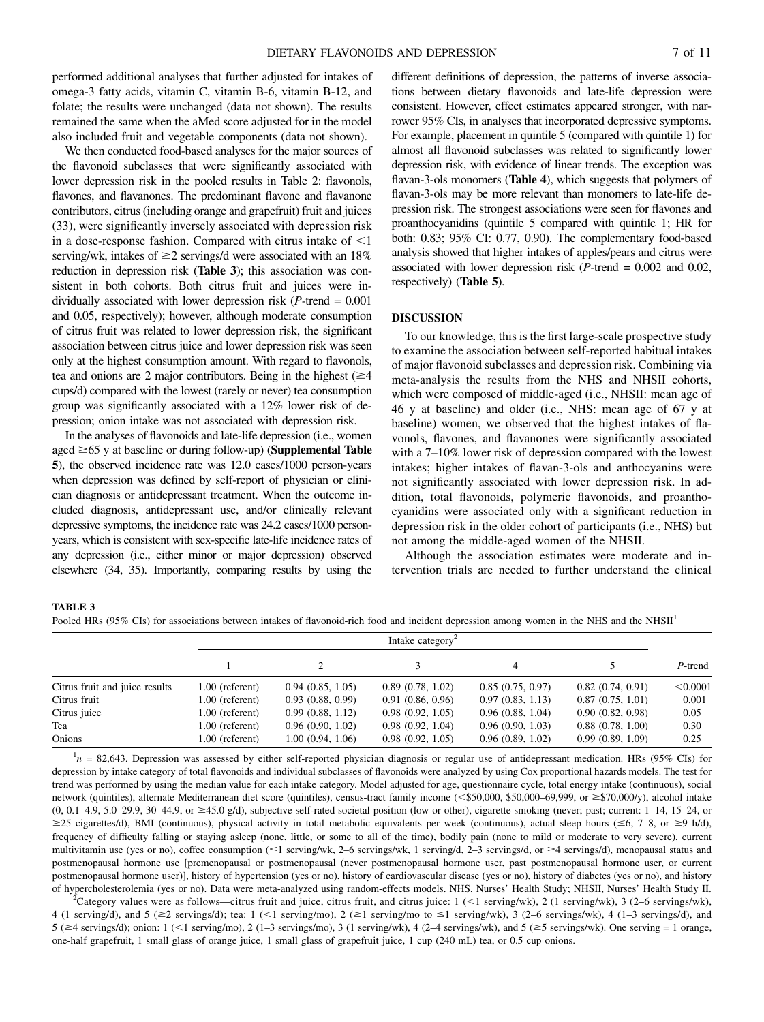performed additional analyses that further adjusted for intakes of omega-3 fatty acids, vitamin C, vitamin B-6, vitamin B-12, and folate; the results were unchanged (data not shown). The results remained the same when the aMed score adjusted for in the model also included fruit and vegetable components (data not shown).

We then conducted food-based analyses for the major sources of the flavonoid subclasses that were significantly associated with lower depression risk in the pooled results in Table 2: flavonols, flavones, and flavanones. The predominant flavone and flavanone contributors, citrus (including orange and grapefruit) fruit and juices (33), were significantly inversely associated with depression risk in a dose-response fashion. Compared with citrus intake of  $\leq 1$ serving/wk, intakes of  $\geq$  2 servings/d were associated with an 18% reduction in depression risk (Table 3); this association was consistent in both cohorts. Both citrus fruit and juices were individually associated with lower depression risk (P-trend = 0.001 and 0.05, respectively); however, although moderate consumption of citrus fruit was related to lower depression risk, the significant association between citrus juice and lower depression risk was seen only at the highest consumption amount. With regard to flavonols, tea and onions are 2 major contributors. Being in the highest  $(\geq 4)$ cups/d) compared with the lowest (rarely or never) tea consumption group was significantly associated with a 12% lower risk of depression; onion intake was not associated with depression risk.

In the analyses of flavonoids and late-life depression (i.e., women aged  $\geq$  65 y at baseline or during follow-up) (**Supplemental Table** 5), the observed incidence rate was 12.0 cases/1000 person-years when depression was defined by self-report of physician or clinician diagnosis or antidepressant treatment. When the outcome included diagnosis, antidepressant use, and/or clinically relevant depressive symptoms, the incidence rate was 24.2 cases/1000 personyears, which is consistent with sex-specific late-life incidence rates of any depression (i.e., either minor or major depression) observed elsewhere (34, 35). Importantly, comparing results by using the

different definitions of depression, the patterns of inverse associations between dietary flavonoids and late-life depression were consistent. However, effect estimates appeared stronger, with narrower 95% CIs, in analyses that incorporated depressive symptoms. For example, placement in quintile 5 (compared with quintile 1) for almost all flavonoid subclasses was related to significantly lower depression risk, with evidence of linear trends. The exception was flavan-3-ols monomers (Table 4), which suggests that polymers of flavan-3-ols may be more relevant than monomers to late-life depression risk. The strongest associations were seen for flavones and proanthocyanidins (quintile 5 compared with quintile 1; HR for both: 0.83; 95% CI: 0.77, 0.90). The complementary food-based analysis showed that higher intakes of apples/pears and citrus were associated with lower depression risk ( $P$ -trend = 0.002 and 0.02, respectively) (Table 5).

## DISCUSSION

To our knowledge, this is the first large-scale prospective study to examine the association between self-reported habitual intakes of major flavonoid subclasses and depression risk. Combining via meta-analysis the results from the NHS and NHSII cohorts, which were composed of middle-aged (i.e., NHSII: mean age of 46 y at baseline) and older (i.e., NHS: mean age of 67 y at baseline) women, we observed that the highest intakes of flavonols, flavones, and flavanones were significantly associated with a 7–10% lower risk of depression compared with the lowest intakes; higher intakes of flavan-3-ols and anthocyanins were not significantly associated with lower depression risk. In addition, total flavonoids, polymeric flavonoids, and proanthocyanidins were associated only with a significant reduction in depression risk in the older cohort of participants (i.e., NHS) but not among the middle-aged women of the NHSII.

Although the association estimates were moderate and intervention trials are needed to further understand the clinical

#### TABLE 3

Pooled HRs (95% CIs) for associations between intakes of flavonoid-rich food and incident depression among women in the NHS and the NHSII<sup>1</sup>

|                                | Intake category <sup><math>\angle</math></sup> |                   |                  |                  |                  |          |
|--------------------------------|------------------------------------------------|-------------------|------------------|------------------|------------------|----------|
|                                |                                                |                   |                  | 4                |                  | P-trend  |
| Citrus fruit and juice results | $1.00$ (referent)                              | 0.94(0.85, 1.05)  | 0.89(0.78, 1.02) | 0.85(0.75, 0.97) | 0.82(0.74, 0.91) | < 0.0001 |
| Citrus fruit                   | 1.00 (referent)                                | 0.93(0.88, 0.99)  | 0.91(0.86, 0.96) | 0.97(0.83, 1.13) | 0.87(0.75, 1.01) | 0.001    |
| Citrus juice                   | 1.00 (referent)                                | 0.99(0.88, 1.12)  | 0.98(0.92, 1.05) | 0.96(0.88, 1.04) | 0.90(0.82, 0.98) | 0.05     |
| Tea                            | 1.00 (referent)                                | 0.96(0.90, 1.02)  | 0.98(0.92, 1.04) | 0.96(0.90, 1.03) | 0.88(0.78, 1.00) | 0.30     |
| Onions                         | 1.00 (referent)                                | 1.00 (0.94, 1.06) | 0.98(0.92, 1.05) | 0.96(0.89, 1.02) | 0.99(0.89, 1.09) | 0.25     |

 $n_{\text{H}} = 82,643$ . Depression was assessed by either self-reported physician diagnosis or regular use of antidepressant medication. HRs (95% CIs) for depression by intake category of total flavonoids and individual subclasses of flavonoids were analyzed by using Cox proportional hazards models. The test for trend was performed by using the median value for each intake category. Model adjusted for age, questionnaire cycle, total energy intake (continuous), social network (quintiles), alternate Mediterranean diet score (quintiles), census-tract family income (<\$50,000, \$50,000–69,999, or  $\geq$ \$70,000/y), alcohol intake  $(0, 0.1-4.9, 5.0-29.9, 30-44.9, \text{ or } \geq 45.0 \text{ g/d})$ , subjective self-rated societal position (low or other), cigarette smoking (never; past; current: 1-14, 15-24, or  $\geq$ 25 cigarettes/d), BMI (continuous), physical activity in total metabolic equivalents per week (continuous), actual sleep hours ( $\leq$ 6, 7–8, or  $\geq$ 9 h/d), frequency of difficulty falling or staying asleep (none, little, or some to all of the time), bodily pain (none to mild or moderate to very severe), current multivitamin use (yes or no), coffee consumption ( $\leq 1$  serving/wk, 2–6 servings/wk, 1 serving/d, 2–3 servings/d, or  $\geq 4$  servings/d), menopausal status and postmenopausal hormone use [premenopausal or postmenopausal (never postmenopausal hormone user, past postmenopausal hormone user, or current postmenopausal hormone user)], history of hypertension (yes or no), history of cardiovascular disease (yes or no), history of diabetes (yes or no), and history of hypercholesterolemia (yes or no). Data were meta-analyzed using random-effects models. NHS, Nurses' Health Study; NHSII, Nurses' Health Study II. <sup>2</sup>

<sup>2</sup>Category values were as follows—citrus fruit and juice, citrus fruit, and citrus juice:  $1$  (<1 serving/wk), 2 (1 serving/wk), 3 (2–6 servings/wk), 4 (1 serving/d), and 5 ( $\geq$ 2 servings/d); tea: 1 (<1 serving/mo), 2 ( $\geq$ 1 serving/mo to  $\leq$ 1 serving/wk), 3 (2–6 servings/wk), 4 (1–3 servings/d), and  $5 \approx 5 \text{ eV}$  servings/d); onion:  $1 \ll 1$  serving/mo),  $2(1-3 \text{ serving/mo})$ ,  $3(1 \text{ serving/wk})$ ,  $4(2-4 \text{ serving/wk})$ , and  $5 \approx 5 \text{ serving/wk})$ . One serving = 1 orange, one-half grapefruit, 1 small glass of orange juice, 1 small glass of grapefruit juice, 1 cup (240 mL) tea, or 0.5 cup onions.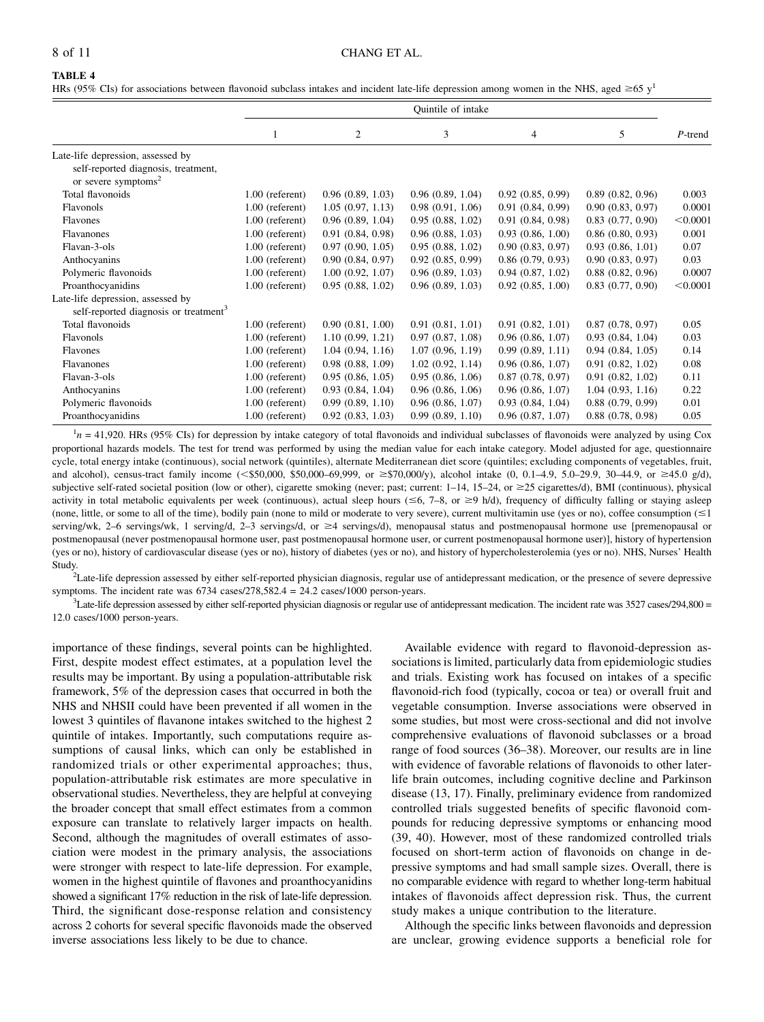# TABLE 4

HRs (95% CIs) for associations between flavonoid subclass intakes and incident late-life depression among women in the NHS, aged  $\geq 65$  y<sup>1</sup>

|                                                                        | Quintile of intake |                  |                  |                  |                  |            |
|------------------------------------------------------------------------|--------------------|------------------|------------------|------------------|------------------|------------|
|                                                                        |                    | $\mathfrak{2}$   | 3                | $\overline{4}$   | 5                | $P$ -trend |
| Late-life depression, assessed by                                      |                    |                  |                  |                  |                  |            |
| self-reported diagnosis, treatment,<br>or severe symptoms <sup>2</sup> |                    |                  |                  |                  |                  |            |
| Total flavonoids                                                       | $1.00$ (referent)  | 0.96(0.89, 1.03) | 0.96(0.89, 1.04) | 0.92(0.85, 0.99) | 0.89(0.82, 0.96) | 0.003      |
| Flavonols                                                              | $1.00$ (referent)  | 1.05(0.97, 1.13) | 0.98(0.91, 1.06) | 0.91(0.84, 0.99) | 0.90(0.83, 0.97) | 0.0001     |
| <b>Flavones</b>                                                        | $1.00$ (referent)  | 0.96(0.89, 1.04) | 0.95(0.88, 1.02) | 0.91(0.84, 0.98) | 0.83(0.77, 0.90) | < 0.0001   |
| <b>Flavanones</b>                                                      | $1.00$ (referent)  | 0.91(0.84, 0.98) | 0.96(0.88, 1.03) | 0.93(0.86, 1.00) | 0.86(0.80, 0.93) | 0.001      |
| Flavan-3-ols                                                           | $1.00$ (referent)  | 0.97(0.90, 1.05) | 0.95(0.88, 1.02) | 0.90(0.83, 0.97) | 0.93(0.86, 1.01) | 0.07       |
| Anthocyanins                                                           | $1.00$ (referent)  | 0.90(0.84, 0.97) | 0.92(0.85, 0.99) | 0.86(0.79, 0.93) | 0.90(0.83, 0.97) | 0.03       |
| Polymeric flavonoids                                                   | $1.00$ (referent)  | 1.00(0.92, 1.07) | 0.96(0.89, 1.03) | 0.94(0.87, 1.02) | 0.88(0.82, 0.96) | 0.0007     |
| Proanthocyanidins                                                      | $1.00$ (referent)  | 0.95(0.88, 1.02) | 0.96(0.89, 1.03) | 0.92(0.85, 1.00) | 0.83(0.77, 0.90) | < 0.0001   |
| Late-life depression, assessed by                                      |                    |                  |                  |                  |                  |            |
| self-reported diagnosis or treatment <sup>3</sup>                      |                    |                  |                  |                  |                  |            |
| Total flavonoids                                                       | $1.00$ (referent)  | 0.90(0.81, 1.00) | 0.91(0.81, 1.01) | 0.91(0.82, 1.01) | 0.87(0.78, 0.97) | 0.05       |
| Flavonols                                                              | $1.00$ (referent)  | 1.10(0.99, 1.21) | 0.97(0.87, 1.08) | 0.96(0.86, 1.07) | 0.93(0.84, 1.04) | 0.03       |
| Flavones                                                               | $1.00$ (referent)  | 1.04(0.94, 1.16) | 1.07(0.96, 1.19) | 0.99(0.89, 1.11) | 0.94(0.84, 1.05) | 0.14       |
| <b>Flavanones</b>                                                      | $1.00$ (referent)  | 0.98(0.88, 1.09) | 1.02(0.92, 1.14) | 0.96(0.86, 1.07) | 0.91(0.82, 1.02) | 0.08       |
| Flavan-3-ols                                                           | $1.00$ (referent)  | 0.95(0.86, 1.05) | 0.95(0.86, 1.06) | 0.87(0.78, 0.97) | 0.91(0.82, 1.02) | 0.11       |
| Anthocyanins                                                           | $1.00$ (referent)  | 0.93(0.84, 1.04) | 0.96(0.86, 1.06) | 0.96(0.86, 1.07) | 1.04(0.93, 1.16) | 0.22       |
| Polymeric flavonoids                                                   | $1.00$ (referent)  | 0.99(0.89, 1.10) | 0.96(0.86, 1.07) | 0.93(0.84, 1.04) | 0.88(0.79, 0.99) | 0.01       |
| Proanthocyanidins                                                      | $1.00$ (referent)  | 0.92(0.83, 1.03) | 0.99(0.89, 1.10) | 0.96(0.87, 1.07) | 0.88(0.78, 0.98) | 0.05       |

 $n_{\text{H}} = 41,920$ . HRs (95% CIs) for depression by intake category of total flavonoids and individual subclasses of flavonoids were analyzed by using Cox proportional hazards models. The test for trend was performed by using the median value for each intake category. Model adjusted for age, questionnaire cycle, total energy intake (continuous), social network (quintiles), alternate Mediterranean diet score (quintiles; excluding components of vegetables, fruit, and alcohol), census-tract family income (<\$50,000, \$50,000–69,999, or  $\geq$ \$70,000/y), alcohol intake (0, 0.1–4.9, 5.0–29.9, 30–44.9, or  $\geq$ 45.0 g/d), subjective self-rated societal position (low or other), cigarette smoking (never; past; current:  $1-14$ ,  $15-24$ , or  $\geq 25$  cigarettes/d), BMI (continuous), physical activity in total metabolic equivalents per week (continuous), actual sleep hours ( $\leq 6$ , 7–8, or  $\geq 9$  h/d), frequency of difficulty falling or staying asleep (none, little, or some to all of the time), bodily pain (none to mild or moderate to very severe), current multivitamin use (yes or no), coffee consumption  $(\leq 1$ serving/wk, 2–6 servings/wk, 1 serving/d, 2–3 servings/d, or ≥4 servings/d), menopausal status and postmenopausal hormone use [premenopausal or postmenopausal (never postmenopausal hormone user, past postmenopausal hormone user, or current postmenopausal hormone user)], history of hypertension (yes or no), history of cardiovascular disease (yes or no), history of diabetes (yes or no), and history of hypercholesterolemia (yes or no). NHS, Nurses' Health Study.

<sup>2</sup>Late-life depression assessed by either self-reported physician diagnosis, regular use of antidepressant medication, or the presence of severe depressive symptoms. The incident rate was  $6734 \text{ cases}/278,582.4 = 24.2 \text{ cases}/1000 \text{ person-years}.$ 

 ${}^{3}$ Late-life depression assessed by either self-reported physician diagnosis or regular use of antidepressant medication. The incident rate was 3527 cases/294,800 = 12.0 cases/1000 person-years.

importance of these findings, several points can be highlighted. First, despite modest effect estimates, at a population level the results may be important. By using a population-attributable risk framework, 5% of the depression cases that occurred in both the NHS and NHSII could have been prevented if all women in the lowest 3 quintiles of flavanone intakes switched to the highest 2 quintile of intakes. Importantly, such computations require assumptions of causal links, which can only be established in randomized trials or other experimental approaches; thus, population-attributable risk estimates are more speculative in observational studies. Nevertheless, they are helpful at conveying the broader concept that small effect estimates from a common exposure can translate to relatively larger impacts on health. Second, although the magnitudes of overall estimates of association were modest in the primary analysis, the associations were stronger with respect to late-life depression. For example, women in the highest quintile of flavones and proanthocyanidins showed a significant 17% reduction in the risk of late-life depression. Third, the significant dose-response relation and consistency across 2 cohorts for several specific flavonoids made the observed inverse associations less likely to be due to chance.

Available evidence with regard to flavonoid-depression associations is limited, particularly data from epidemiologic studies and trials. Existing work has focused on intakes of a specific flavonoid-rich food (typically, cocoa or tea) or overall fruit and vegetable consumption. Inverse associations were observed in some studies, but most were cross-sectional and did not involve comprehensive evaluations of flavonoid subclasses or a broad range of food sources (36–38). Moreover, our results are in line with evidence of favorable relations of flavonoids to other laterlife brain outcomes, including cognitive decline and Parkinson disease (13, 17). Finally, preliminary evidence from randomized controlled trials suggested benefits of specific flavonoid compounds for reducing depressive symptoms or enhancing mood (39, 40). However, most of these randomized controlled trials focused on short-term action of flavonoids on change in depressive symptoms and had small sample sizes. Overall, there is no comparable evidence with regard to whether long-term habitual intakes of flavonoids affect depression risk. Thus, the current study makes a unique contribution to the literature.

Although the specific links between flavonoids and depression are unclear, growing evidence supports a beneficial role for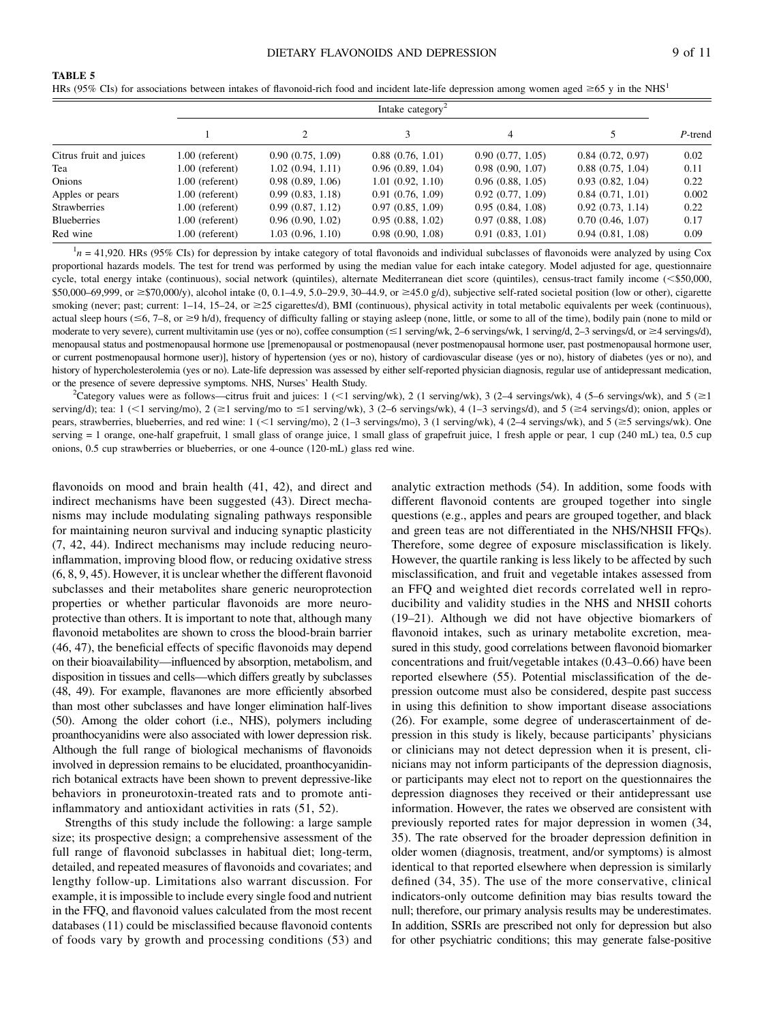TABLE 5

HRs (95% CIs) for associations between intakes of flavonoid-rich food and incident late-life depression among women aged  $\geq 65$  y in the NHS<sup>1</sup>

|                         | Intake category <sup>2</sup> |                  |                  |                  |                  |         |
|-------------------------|------------------------------|------------------|------------------|------------------|------------------|---------|
|                         |                              | 2                |                  | 4                |                  | P-trend |
| Citrus fruit and juices | 1.00 (referent)              | 0.90(0.75, 1.09) | 0.88(0.76, 1.01) | 0.90(0.77, 1.05) | 0.84(0.72, 0.97) | 0.02    |
| Tea                     | 1.00 (referent)              | 1.02(0.94, 1.11) | 0.96(0.89, 1.04) | 0.98(0.90, 1.07) | 0.88(0.75, 1.04) | 0.11    |
| Onions                  | 1.00 (referent)              | 0.98(0.89, 1.06) | 1.01(0.92, 1.10) | 0.96(0.88, 1.05) | 0.93(0.82, 1.04) | 0.22    |
| Apples or pears         | 1.00 (referent)              | 0.99(0.83, 1.18) | 0.91(0.76, 1.09) | 0.92(0.77, 1.09) | 0.84(0.71, 1.01) | 0.002   |
| <b>Strawberries</b>     | 1.00 (referent)              | 0.99(0.87, 1.12) | 0.97(0.85, 1.09) | 0.95(0.84, 1.08) | 0.92(0.73, 1.14) | 0.22    |
| <b>Blueberries</b>      | 1.00 (referent)              | 0.96(0.90, 1.02) | 0.95(0.88, 1.02) | 0.97(0.88, 1.08) | 0.70(0.46, 1.07) | 0.17    |
| Red wine                | 1.00 (referent)              | 1.03(0.96, 1.10) | 0.98(0.90, 1.08) | 0.91(0.83, 1.01) | 0.94(0.81, 1.08) | 0.09    |

 $n_{\text{H}} = 41,920$ . HRs (95% CIs) for depression by intake category of total flavonoids and individual subclasses of flavonoids were analyzed by using Cox proportional hazards models. The test for trend was performed by using the median value for each intake category. Model adjusted for age, questionnaire cycle, total energy intake (continuous), social network (quintiles), alternate Mediterranean diet score (quintiles), census-tract family income (<\$50,000, \$50,000–69,999, or  $\geq$ \$70,000/y), alcohol intake (0, 0.1–4.9, 5.0–29.9, 30–44.9, or  $\geq$ 45.0 g/d), subjective self-rated societal position (low or other), cigarette smoking (never; past; current:  $1-14$ ,  $15-24$ , or  $\geq 25$  cigarettes/d), BMI (continuous), physical activity in total metabolic equivalents per week (continuous), actual sleep hours ( $\leq 6$ ,  $7-8$ , or  $\geq 9$  h/d), frequency of difficulty falling or staying asleep (none, little, or some to all of the time), bodily pain (none to mild or moderate to very severe), current multivitamin use (yes or no), coffee consumption  $(\leq 1$  serving/wk, 2–6 servings/wk, 1 serving/d, 2–3 servings/d, or  $\geq 4$  servings/d), menopausal status and postmenopausal hormone use [premenopausal or postmenopausal (never postmenopausal hormone user, past postmenopausal hormone user, or current postmenopausal hormone user)], history of hypertension (yes or no), history of cardiovascular disease (yes or no), history of diabetes (yes or no), and history of hypercholesterolemia (yes or no). Late-life depression was assessed by either self-reported physician diagnosis, regular use of antidepressant medication, or the presence of severe depressive symptoms. NHS, Nurses' Health Study.

<sup>2</sup>Category values were as follows—citrus fruit and juices: 1 (<1 serving/wk), 2 (1 servings/wk), 3 (2–4 servings/wk), 4 (5–6 servings/wk), and 5 ( $\geq$ 1 serving/d); tea:  $1$  (<1 serving/mo),  $2$  (≥1 serving/mo to  $\leq 1$  serving/wk), 3 (2–6 servings/wk), 4 (1–3 servings/d), and 5 (≥4 servings/d); onion, apples or pears, strawberries, blueberries, and red wine:  $1$  (<1 serving/mo),  $2$  (1–3 servings/mo),  $3$  (1 servings/wk),  $4$  (2–4 servings/wk), and  $5$  ( $\geq$ 5 servings/wk). One serving = 1 orange, one-half grapefruit, 1 small glass of orange juice, 1 small glass of grapefruit juice, 1 fresh apple or pear, 1 cup (240 mL) tea, 0.5 cup onions, 0.5 cup strawberries or blueberries, or one 4-ounce (120-mL) glass red wine.

flavonoids on mood and brain health (41, 42), and direct and indirect mechanisms have been suggested (43). Direct mechanisms may include modulating signaling pathways responsible for maintaining neuron survival and inducing synaptic plasticity (7, 42, 44). Indirect mechanisms may include reducing neuroinflammation, improving blood flow, or reducing oxidative stress (6, 8, 9, 45). However, it is unclear whether the different flavonoid subclasses and their metabolites share generic neuroprotection properties or whether particular flavonoids are more neuroprotective than others. It is important to note that, although many flavonoid metabolites are shown to cross the blood-brain barrier (46, 47), the beneficial effects of specific flavonoids may depend on their bioavailability—influenced by absorption, metabolism, and disposition in tissues and cells—which differs greatly by subclasses (48, 49). For example, flavanones are more efficiently absorbed than most other subclasses and have longer elimination half-lives (50). Among the older cohort (i.e., NHS), polymers including proanthocyanidins were also associated with lower depression risk. Although the full range of biological mechanisms of flavonoids involved in depression remains to be elucidated, proanthocyanidinrich botanical extracts have been shown to prevent depressive-like behaviors in proneurotoxin-treated rats and to promote antiinflammatory and antioxidant activities in rats (51, 52).

Strengths of this study include the following: a large sample size; its prospective design; a comprehensive assessment of the full range of flavonoid subclasses in habitual diet; long-term, detailed, and repeated measures of flavonoids and covariates; and lengthy follow-up. Limitations also warrant discussion. For example, it is impossible to include every single food and nutrient in the FFQ, and flavonoid values calculated from the most recent databases (11) could be misclassified because flavonoid contents of foods vary by growth and processing conditions (53) and analytic extraction methods (54). In addition, some foods with different flavonoid contents are grouped together into single questions (e.g., apples and pears are grouped together, and black and green teas are not differentiated in the NHS/NHSII FFQs). Therefore, some degree of exposure misclassification is likely. However, the quartile ranking is less likely to be affected by such misclassification, and fruit and vegetable intakes assessed from an FFQ and weighted diet records correlated well in reproducibility and validity studies in the NHS and NHSII cohorts (19–21). Although we did not have objective biomarkers of flavonoid intakes, such as urinary metabolite excretion, measured in this study, good correlations between flavonoid biomarker concentrations and fruit/vegetable intakes (0.43–0.66) have been reported elsewhere (55). Potential misclassification of the depression outcome must also be considered, despite past success in using this definition to show important disease associations (26). For example, some degree of underascertainment of depression in this study is likely, because participants' physicians or clinicians may not detect depression when it is present, clinicians may not inform participants of the depression diagnosis, or participants may elect not to report on the questionnaires the depression diagnoses they received or their antidepressant use information. However, the rates we observed are consistent with previously reported rates for major depression in women (34, 35). The rate observed for the broader depression definition in older women (diagnosis, treatment, and/or symptoms) is almost identical to that reported elsewhere when depression is similarly defined (34, 35). The use of the more conservative, clinical indicators-only outcome definition may bias results toward the null; therefore, our primary analysis results may be underestimates. In addition, SSRIs are prescribed not only for depression but also for other psychiatric conditions; this may generate false-positive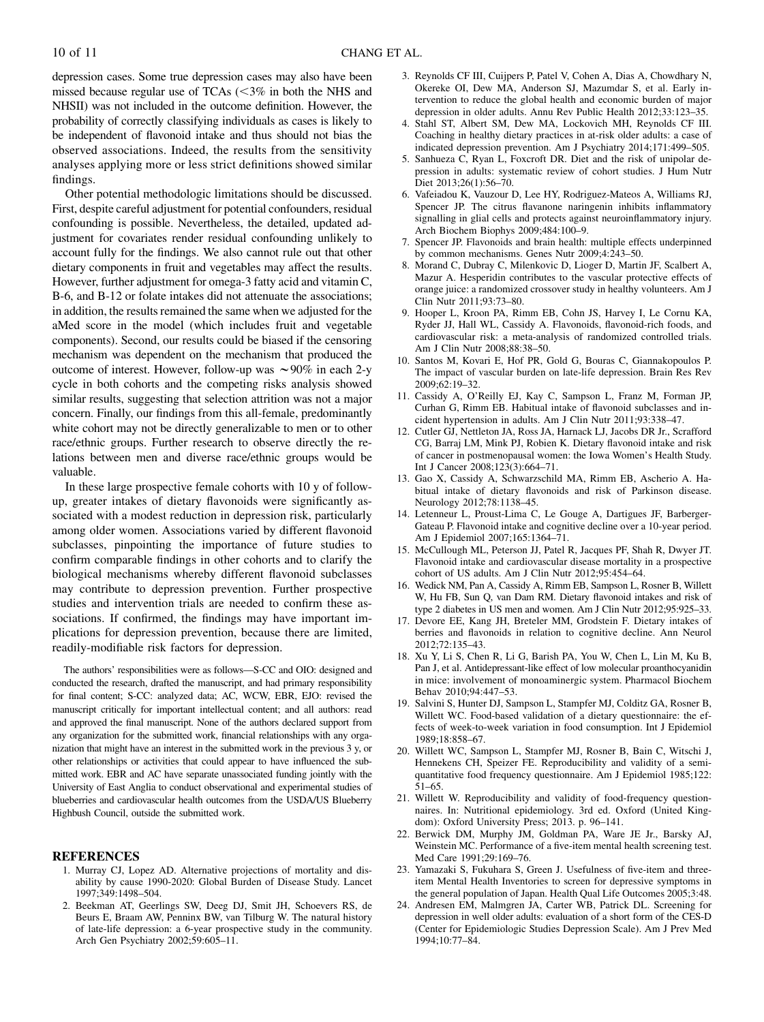depression cases. Some true depression cases may also have been missed because regular use of TCAs  $\langle \langle 3\% \rangle$  in both the NHS and NHSII) was not included in the outcome definition. However, the probability of correctly classifying individuals as cases is likely to be independent of flavonoid intake and thus should not bias the observed associations. Indeed, the results from the sensitivity analyses applying more or less strict definitions showed similar findings.

Other potential methodologic limitations should be discussed. First, despite careful adjustment for potential confounders, residual confounding is possible. Nevertheless, the detailed, updated adjustment for covariates render residual confounding unlikely to account fully for the findings. We also cannot rule out that other dietary components in fruit and vegetables may affect the results. However, further adjustment for omega-3 fatty acid and vitamin C, B-6, and B-12 or folate intakes did not attenuate the associations; in addition, the results remained the same when we adjusted for the aMed score in the model (which includes fruit and vegetable components). Second, our results could be biased if the censoring mechanism was dependent on the mechanism that produced the outcome of interest. However, follow-up was  $\sim 90\%$  in each 2-y cycle in both cohorts and the competing risks analysis showed similar results, suggesting that selection attrition was not a major concern. Finally, our findings from this all-female, predominantly white cohort may not be directly generalizable to men or to other race/ethnic groups. Further research to observe directly the relations between men and diverse race/ethnic groups would be valuable.

In these large prospective female cohorts with 10 y of followup, greater intakes of dietary flavonoids were significantly associated with a modest reduction in depression risk, particularly among older women. Associations varied by different flavonoid subclasses, pinpointing the importance of future studies to confirm comparable findings in other cohorts and to clarify the biological mechanisms whereby different flavonoid subclasses may contribute to depression prevention. Further prospective studies and intervention trials are needed to confirm these associations. If confirmed, the findings may have important implications for depression prevention, because there are limited, readily-modifiable risk factors for depression.

The authors' responsibilities were as follows—S-CC and OIO: designed and conducted the research, drafted the manuscript, and had primary responsibility for final content; S-CC: analyzed data; AC, WCW, EBR, EJO: revised the manuscript critically for important intellectual content; and all authors: read and approved the final manuscript. None of the authors declared support from any organization for the submitted work, financial relationships with any organization that might have an interest in the submitted work in the previous 3 y, or other relationships or activities that could appear to have influenced the submitted work. EBR and AC have separate unassociated funding jointly with the University of East Anglia to conduct observational and experimental studies of blueberries and cardiovascular health outcomes from the USDA/US Blueberry Highbush Council, outside the submitted work.

## **REFERENCES**

- 1. Murray CJ, Lopez AD. Alternative projections of mortality and disability by cause 1990-2020: Global Burden of Disease Study. Lancet 1997;349:1498–504.
- 2. Beekman AT, Geerlings SW, Deeg DJ, Smit JH, Schoevers RS, de Beurs E, Braam AW, Penninx BW, van Tilburg W. The natural history of late-life depression: a 6-year prospective study in the community. Arch Gen Psychiatry 2002;59:605–11.
- 3. Reynolds CF III, Cuijpers P, Patel V, Cohen A, Dias A, Chowdhary N, Okereke OI, Dew MA, Anderson SJ, Mazumdar S, et al. Early intervention to reduce the global health and economic burden of major depression in older adults. Annu Rev Public Health 2012;33:123–35.
- 4. Stahl ST, Albert SM, Dew MA, Lockovich MH, Reynolds CF III. Coaching in healthy dietary practices in at-risk older adults: a case of indicated depression prevention. Am J Psychiatry 2014;171:499–505.
- 5. Sanhueza C, Ryan L, Foxcroft DR. Diet and the risk of unipolar depression in adults: systematic review of cohort studies. J Hum Nutr Diet 2013;26(1):56–70.
- 6. Vafeiadou K, Vauzour D, Lee HY, Rodriguez-Mateos A, Williams RJ, Spencer JP. The citrus flavanone naringenin inhibits inflammatory signalling in glial cells and protects against neuroinflammatory injury. Arch Biochem Biophys 2009;484:100–9.
- 7. Spencer JP. Flavonoids and brain health: multiple effects underpinned by common mechanisms. Genes Nutr 2009;4:243–50.
- 8. Morand C, Dubray C, Milenkovic D, Lioger D, Martin JF, Scalbert A, Mazur A. Hesperidin contributes to the vascular protective effects of orange juice: a randomized crossover study in healthy volunteers. Am J Clin Nutr 2011;93:73–80.
- 9. Hooper L, Kroon PA, Rimm EB, Cohn JS, Harvey I, Le Cornu KA, Ryder JJ, Hall WL, Cassidy A. Flavonoids, flavonoid-rich foods, and cardiovascular risk: a meta-analysis of randomized controlled trials. Am J Clin Nutr 2008;88:38–50.
- 10. Santos M, Kovari E, Hof PR, Gold G, Bouras C, Giannakopoulos P. The impact of vascular burden on late-life depression. Brain Res Rev 2009;62:19–32.
- 11. Cassidy A, O'Reilly EJ, Kay C, Sampson L, Franz M, Forman JP, Curhan G, Rimm EB. Habitual intake of flavonoid subclasses and incident hypertension in adults. Am J Clin Nutr 2011;93:338–47.
- 12. Cutler GJ, Nettleton JA, Ross JA, Harnack LJ, Jacobs DR Jr., Scrafford CG, Barraj LM, Mink PJ, Robien K. Dietary flavonoid intake and risk of cancer in postmenopausal women: the Iowa Women's Health Study. Int J Cancer 2008;123(3):664–71.
- 13. Gao X, Cassidy A, Schwarzschild MA, Rimm EB, Ascherio A. Habitual intake of dietary flavonoids and risk of Parkinson disease. Neurology 2012;78:1138–45.
- 14. Letenneur L, Proust-Lima C, Le Gouge A, Dartigues JF, Barberger-Gateau P. Flavonoid intake and cognitive decline over a 10-year period. Am J Epidemiol 2007;165:1364–71.
- 15. McCullough ML, Peterson JJ, Patel R, Jacques PF, Shah R, Dwyer JT. Flavonoid intake and cardiovascular disease mortality in a prospective cohort of US adults. Am J Clin Nutr 2012;95:454–64.
- 16. Wedick NM, Pan A, Cassidy A, Rimm EB, Sampson L, Rosner B, Willett W, Hu FB, Sun Q, van Dam RM. Dietary flavonoid intakes and risk of type 2 diabetes in US men and women. Am J Clin Nutr 2012;95:925–33.
- 17. Devore EE, Kang JH, Breteler MM, Grodstein F. Dietary intakes of berries and flavonoids in relation to cognitive decline. Ann Neurol 2012;72:135–43.
- 18. Xu Y, Li S, Chen R, Li G, Barish PA, You W, Chen L, Lin M, Ku B, Pan J, et al. Antidepressant-like effect of low molecular proanthocyanidin in mice: involvement of monoaminergic system. Pharmacol Biochem Behav 2010;94:447–53.
- 19. Salvini S, Hunter DJ, Sampson L, Stampfer MJ, Colditz GA, Rosner B, Willett WC. Food-based validation of a dietary questionnaire: the effects of week-to-week variation in food consumption. Int J Epidemiol 1989;18:858–67.
- 20. Willett WC, Sampson L, Stampfer MJ, Rosner B, Bain C, Witschi J, Hennekens CH, Speizer FE. Reproducibility and validity of a semiquantitative food frequency questionnaire. Am J Epidemiol 1985;122: 51–65.
- 21. Willett W. Reproducibility and validity of food-frequency questionnaires. In: Nutritional epidemiology. 3rd ed. Oxford (United Kingdom): Oxford University Press; 2013. p. 96–141.
- 22. Berwick DM, Murphy JM, Goldman PA, Ware JE Jr., Barsky AJ, Weinstein MC. Performance of a five-item mental health screening test. Med Care 1991;29:169–76.
- 23. Yamazaki S, Fukuhara S, Green J. Usefulness of five-item and threeitem Mental Health Inventories to screen for depressive symptoms in the general population of Japan. Health Qual Life Outcomes 2005;3:48.
- 24. Andresen EM, Malmgren JA, Carter WB, Patrick DL. Screening for depression in well older adults: evaluation of a short form of the CES-D (Center for Epidemiologic Studies Depression Scale). Am J Prev Med 1994;10:77–84.